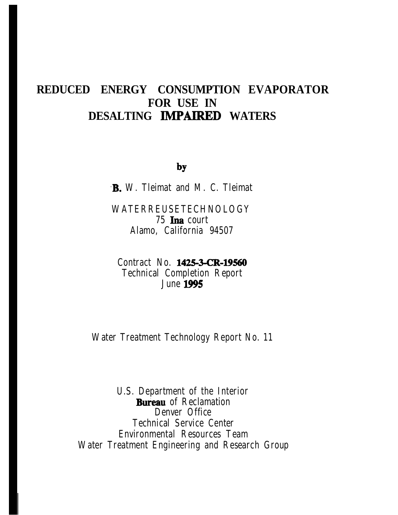# REDUCED ENERGY CONSUMPTION EVAPORATOR FOR USE IN DESALTING IMPAIRED WATERS

by

**B.** W. Tleimat and M. C. Tleimat

**WATERREUSETECHNOLOGY** 75 Ina court Alamo, California 94507

Contract No. 1425-3-CR-19560 **Technical Completion Report June 1995** 

**Water Treatment Technology Report No. 11** 

**U.S.** Department of the Interior **Bureau** of Reclamation **Denver Office Technical Service Center Environmental Resources Team Water Treatment Engineering and Research Group**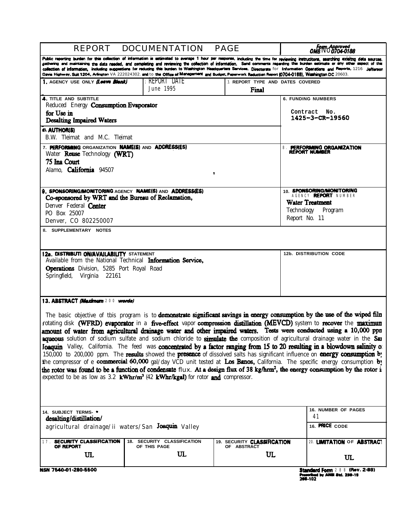| <b>DOCUMENTATION</b><br>REPORT                                                                                                                                                             | Form Approved<br>OMB NO0704-0188            |                                                 |                                                                                                                                                                                                                                                                                                                                                                                                                                                                                                                                                                                                                                                                                                                                                                                                                                                                                                                                                                                                                                                                                |
|--------------------------------------------------------------------------------------------------------------------------------------------------------------------------------------------|---------------------------------------------|-------------------------------------------------|--------------------------------------------------------------------------------------------------------------------------------------------------------------------------------------------------------------------------------------------------------------------------------------------------------------------------------------------------------------------------------------------------------------------------------------------------------------------------------------------------------------------------------------------------------------------------------------------------------------------------------------------------------------------------------------------------------------------------------------------------------------------------------------------------------------------------------------------------------------------------------------------------------------------------------------------------------------------------------------------------------------------------------------------------------------------------------|
| Davis Highway, Suit 1204, Arlington VA 222024302. and to the Office of Management and Budget, Paperwork Reduction Report (0704-0188), Washington DC 20603.                                 |                                             |                                                 | Public reporting burden for this collection of information is setimated to average 1 hour per response, including the time for reviewing instructions, searching existing data sources,<br>gathering and maintaining the data needed, and completing and reviewing the collection of information. Send comments regarding this burden estimate or any other aspect of this<br>collection of information, including auggestions for reducing this burden to Washington Headquerters Services, Directorate for Information Operations and Reports, 1216 Jefferson                                                                                                                                                                                                                                                                                                                                                                                                                                                                                                                |
| 1. AGENCY USE ONLY Low Blank                                                                                                                                                               | Report Date<br>June 1995                    | <b>3 REPORT TYPE AND DATES COVERED</b><br>Final |                                                                                                                                                                                                                                                                                                                                                                                                                                                                                                                                                                                                                                                                                                                                                                                                                                                                                                                                                                                                                                                                                |
| <b>4. TITLE AND SUBTITLE</b>                                                                                                                                                               |                                             |                                                 | <b>6. FUNDING NUMBERS</b>                                                                                                                                                                                                                                                                                                                                                                                                                                                                                                                                                                                                                                                                                                                                                                                                                                                                                                                                                                                                                                                      |
| Reduced Energy <b>Consumption Evaporator</b><br>for Use in<br><b>Desalting Impaired Waters</b>                                                                                             |                                             |                                                 | Contract No.<br>1425-3-CR-19560                                                                                                                                                                                                                                                                                                                                                                                                                                                                                                                                                                                                                                                                                                                                                                                                                                                                                                                                                                                                                                                |
| B. AUTHOR(S)<br>B.W. Tleimat and M.C. Tleimat                                                                                                                                              |                                             |                                                 |                                                                                                                                                                                                                                                                                                                                                                                                                                                                                                                                                                                                                                                                                                                                                                                                                                                                                                                                                                                                                                                                                |
| 7. PERFORMING ORGANIZATION NAME(S) AND ADDRESS(ES)<br>Water Reuse Technology (WRT)<br>75 Ina Court<br>Alamo. <b>California</b> 94507                                                       |                                             | ٠                                               | <b>PERFORMING ORGANIZATION</b><br>8<br><b>REPORT NUMBER</b>                                                                                                                                                                                                                                                                                                                                                                                                                                                                                                                                                                                                                                                                                                                                                                                                                                                                                                                                                                                                                    |
| 9. SPONSORING/MONITORING AGENCY NAME(S) AND ADDRESS(ES)<br>Co-sponsored by WRT and the Bureau of Reclamation,<br>Denver Federal <b>Center</b><br>PO Box 25007                              |                                             |                                                 | 10. SPONSORING/MONITORING<br>AGENCY REPORT NUMBER<br><b>Water Treatment</b><br>Technology Program                                                                                                                                                                                                                                                                                                                                                                                                                                                                                                                                                                                                                                                                                                                                                                                                                                                                                                                                                                              |
| Denver, CO 802250007                                                                                                                                                                       |                                             |                                                 | Report No. 11                                                                                                                                                                                                                                                                                                                                                                                                                                                                                                                                                                                                                                                                                                                                                                                                                                                                                                                                                                                                                                                                  |
| 12a. DISTRIBUTI ON/AVAILABILITY STATEMENT<br>Available from the National Technical Information Service,<br><b>Operations</b> Division, 5285 Port Royal Road<br>Springfield, Virginia 22161 |                                             |                                                 | <b>12b. DISTRIBUTION CODE</b>                                                                                                                                                                                                                                                                                                                                                                                                                                                                                                                                                                                                                                                                                                                                                                                                                                                                                                                                                                                                                                                  |
| 13. ABSTRACT (Meximum 200 words)<br>expected to be as low as 3.2 $kWhr/m^3$ (42 $kWhr/kgal$ ) for rotor and compressor.                                                                    |                                             |                                                 | The basic objective of this program is to demonstrate significant savings in energy consumption by the use of the wiped film<br>rotating disk (WFRD) evaporator in a five-effect vapor compression distillation (MEVCD) system to recover the maximum<br>amount of water from agricultural drainage water and other impaired waters. Tests were conducted using a 10,000 ppn<br>aqueous solution of sodium sulfate and sodium chloride to simulate the composition of agricultural drainage water in the Sau<br>Joaquin Valley, California. The feed was concentrated by a factor ranging from 15 to 20 resulting in a blowdown salinity of<br>150,000 to 200,000 ppm. The results showed the presence of dissolved salts has significant influence on energy consumption by<br>the compressor of e <b>commercial 60,000</b> gal/day VCD unit tested at Los Banos, California. The specific energy consumption by<br>the rotor was found to be a function of condensate $f_{\text{lux}}$ . At a design flux of 38 kg/hrm <sup>2</sup> , the energy consumption by the rotor is |
| 14. SUBJECT TERMS- *<br>desalting/distillation/                                                                                                                                            |                                             |                                                 | 16. NUMBER OF PAGES<br>41                                                                                                                                                                                                                                                                                                                                                                                                                                                                                                                                                                                                                                                                                                                                                                                                                                                                                                                                                                                                                                                      |
| agricultural drainage/ii waters/San Joaquin Valley                                                                                                                                         |                                             |                                                 | 16. PRICE CODE                                                                                                                                                                                                                                                                                                                                                                                                                                                                                                                                                                                                                                                                                                                                                                                                                                                                                                                                                                                                                                                                 |
| SECURITY CLASSIFICATION<br>OF REPORT                                                                                                                                                       | 18. SECURITY CLASSIFICATION<br>OF THIS PAGE | 19. SECURITY CLASSIFICATION<br>OF ABSTRACT      | 20. <b>LIMITATION OF ABSTRACT</b>                                                                                                                                                                                                                                                                                                                                                                                                                                                                                                                                                                                                                                                                                                                                                                                                                                                                                                                                                                                                                                              |
| UL                                                                                                                                                                                         | $\mathbf{U}$                                | UL                                              | UL                                                                                                                                                                                                                                                                                                                                                                                                                                                                                                                                                                                                                                                                                                                                                                                                                                                                                                                                                                                                                                                                             |
| NSN 7540-01-280-5500                                                                                                                                                                       |                                             |                                                 | Standard Form 288 (Rev. 2-89)                                                                                                                                                                                                                                                                                                                                                                                                                                                                                                                                                                                                                                                                                                                                                                                                                                                                                                                                                                                                                                                  |

weaverster POTTT 2 8 8 1799<br>Prescribed by ANSE 8td, 229-18<br>208-102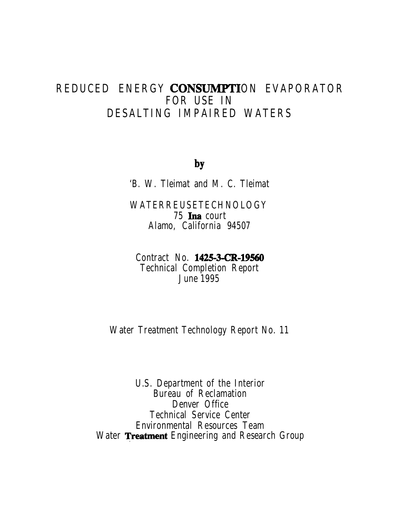# **REDUCED ENERGY CONSUMPTION EVAPORATOR FOR USE IN DESALTING IMPAIRED WATERS**

bY

**'B. W. Tleimat and M. C. Tleimat**

**WATERREUSETECHNOLOGY 75 Ina court Alamo, California 94507**

**Contract No. 1425-3-CR-19560 Technical Completion Report June 1995**

**Water Treatment Technology Report No. 11**

**U.S. Department of the Interior Bureau of Reclamation Denver Office Technical Service Center Environmental Resources Team Water Treatment Engineering and Research Group**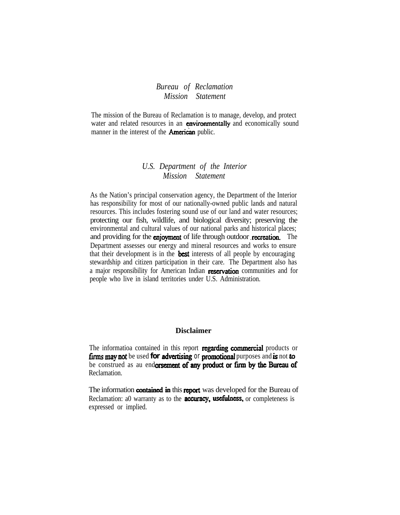*Bureau of Reclamation Mission Statement*

The mission of the Bureau of Reclamation is to manage, develop, and protect water and related resources in an environmentally and economically sound manner in the interest of the **American** public.

### *U.S. Department of the Interior Mission Statement*

As the Nation's principal conservation agency, the Department of the Interior has responsibility for most of our nationally-owned public lands and natural resources. This includes fostering sound use of our land and water resources; protecting our fish, wildlife, and biological diversity; preserving the environmental and cultural values of our national parks and historical places; and providing for the **enjoyment** of life through outdoor recreation. The Department assesses our energy and mineral resources and works to ensure that their development is in the **best** interests of all people by encouraging stewardship and citizen participation in their care. The Department also has a major responsibility for American Indian reservation communities and for people who live in island territories under U.S. Administration.

#### **Disclaimer**

The informatioa contained in this report regarding commercial products or firms may not be used for **advertising or promotional** purposes and is not to be construed as au endorsement of any product or firm by the Bureau of Reclamation.

The information contained in this report was developed for the Bureau of Reclamation: a0 warranty as to the **accuracy, usefulness**, or completeness is expressed or implied.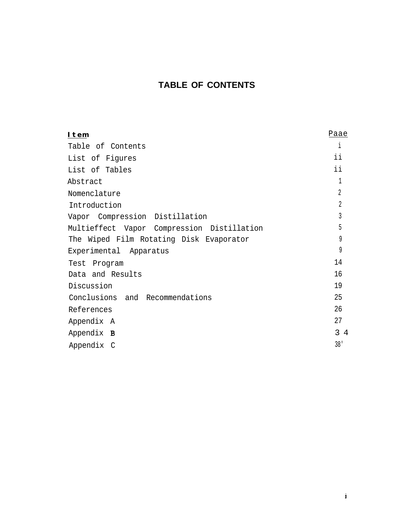## **TABLE OF CONTENTS**

| Item                                       | Paae            |
|--------------------------------------------|-----------------|
| Table of Contents                          | 1               |
| List of Figures                            | ii              |
| List of Tables                             | ii              |
| Abstract                                   | 1               |
| Nomenclature                               | $\overline{2}$  |
| Introduction                               | $\overline{2}$  |
| Vapor Compression Distillation             | 3               |
| Multieffect Vapor Compression Distillation | 5               |
| The Wiped Film Rotating Disk Evaporator    | 9               |
| Experimental Apparatus                     | 9               |
| Program<br>Test                            | 14              |
| Data and Results                           | 16              |
| Discussion                                 | 19              |
| Conclusions and Recommendations            | 25              |
| References                                 | 26              |
| Appendix A                                 | 27              |
| Appendix <b>B</b>                          | $3\quad 4$      |
| Appendix C                                 | 38 <sup>1</sup> |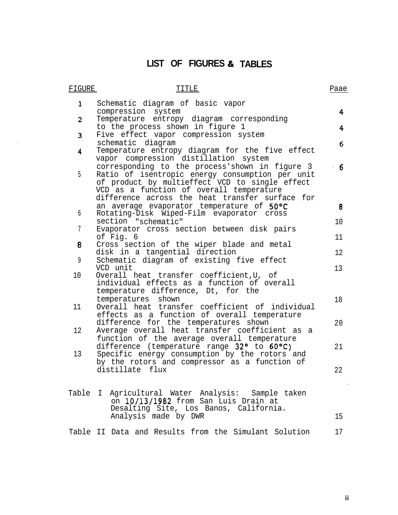# **LIST OF FIGURES & TABLES**

 $\langle \cdot, \cdot \rangle$ 

| FIGURE         | TITLE                                                                                                                                                                                                                                              | Paae |
|----------------|----------------------------------------------------------------------------------------------------------------------------------------------------------------------------------------------------------------------------------------------------|------|
| $\mathbf{1}$   | Schematic diagram of basic vapor<br>compression system                                                                                                                                                                                             | 4    |
| $\overline{c}$ | Temperature entropy diagram corresponding<br>to the process shown in figure 1                                                                                                                                                                      | 4    |
| 3              | Five effect vapor compression system<br>schematic diagram                                                                                                                                                                                          | 6.   |
| 4              | Temperature entropy diagram for the five effect<br>vapor compression distillation system                                                                                                                                                           |      |
| 5              | corresponding to the process'shown in figure 3<br>Ratio of isentropic energy consumption per unit<br>of product by multieffect VCD to single effect<br>VCD as a function of overall temperature<br>difference across the heat transfer surface for | $-6$ |
| 6              | an average evaporator temperature of 50°C<br>Rotating-Disk Wiped-Film evaporator cross                                                                                                                                                             | 8    |
| 7              | section "schematic"<br>Evaporator cross section between disk pairs                                                                                                                                                                                 | 10   |
|                | of Fig. 6                                                                                                                                                                                                                                          | 11   |
| 8              | Cross section of the wiper blade and metal<br>disk in a tangential direction                                                                                                                                                                       | 12   |
| 9              | Schematic diagram of existing five effect<br>VCD unit                                                                                                                                                                                              | 13   |
| 10             | Overall heat transfer coefficient, U, of<br>individual effects as a function of overall<br>temperature difference, Dt, for the                                                                                                                     |      |
| 11             | temperatures<br>shown<br>Overall heat transfer coefficient of individual<br>effects as a function of overall temperature                                                                                                                           | 18   |
| 12             | difference for the temperatures shown<br>Average overall heat transfer coefficient as a                                                                                                                                                            | 20   |
| 13             | function of the average overall temperature<br>difference (temperature range 32° to 60°C)<br>Specific energy consumption by the rotors and<br>by the rotors and compressor as a function of                                                        | 21   |
|                | distillate flux                                                                                                                                                                                                                                    | 22   |
|                | Table I Agricultural Water Analysis: Sample taken<br>on 10/13/1982 from San Luis Drain at<br>Desalting Site, Los Banos, California.                                                                                                                |      |
|                | Analysis made by DWR                                                                                                                                                                                                                               | 15   |
|                | Table II Data and Results from the Simulant Solution                                                                                                                                                                                               | 17   |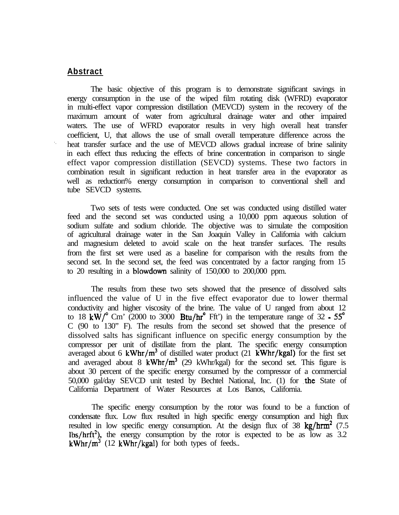#### **Abstract**

The basic objective of this program is to demonstrate significant savings in energy consumption in the use of the wiped film rotating disk (WFRD) evaporator in multi-effect vapor compression distillation (MEVCD) system in the recovery of the maximum amount of water from agricultural drainage water and other impaired waters. The use of WFRD evaporator results in very high overall heat transfer coefficient, U, that allows the use of small overall temperature difference across the heat transfer surface and the use of MEVCD allows gradual increase of brine salinity in each effect thus reducing the effects of brine concentration in comparison to single effect vapor compression distillation (SEVCD) systems. These two factors in combination result in significant reduction in heat transfer area in the evaporator as well as reduction% energy consumption in comparison to conventional shell and tube SEVCD systems.

Two sets of tests were conducted. One set was conducted using distilled water feed and the second set was conducted using a 10,000 ppm aqueous solution of sodium sulfate and sodium chloride. The objective was to simulate the composition of agricultural drainage water in the San Joaquin Valley in California with calcium and magnesium deleted to avoid scale on the heat transfer surfaces. The results from the first set were used as a baseline for comparison with the results from the second set. In the second set, the feed was concentrated by a factor ranging from 15 to 20 resulting in a blowdown salinity of 150,000 to 200,000 ppm.

The results from these two sets showed that the presence of dissolved salts influenced the value of U in the five effect evaporator due to lower thermal conductivity and higher viscosity of the brine. The value of U ranged from about 12 to 18  $kW$ <sup>o</sup> Cm' (2000 to 3000 Btu/hr<sup>o</sup> Fft') in the temperature range of 32  $\cdot$  55<sup>o</sup> C (90 to 130" F). The results from the second set showed that the presence of dissolved salts has significant influence on specific energy consumption by the compressor per unit of distillate from the plant. The specific energy consumption averaged about 6 kWhr/ $m^3$  of distilled water product (21 kWhr/kgal) for the first set and averaged about 8 kWhr/ $m^3$  (29 kWhr/kgal) for the second set. This figure is about 30 percent of the specific energy consumed by the compressor of a commercial 50,000 gal/day SEVCD unit tested by Bechtel National, Inc. (1) for the State of California Department of Water Resources at Los Banos, California.

The specific energy consumption by the rotor was found to be a function of condensate flux. Low flux resulted in high specific energy consumption and high flux resulted in low specific energy consumption. At the design flux of 38  $\text{kg}/\text{hrm}^2$  (7.5)  $\frac{1}{5}$  lbs/hrft<sup>2</sup>), the energy consumption by the rotor is expected to be as low as 3.2 kWhr/ $m^3$  (12 kWhr/kgal) for both types of feeds..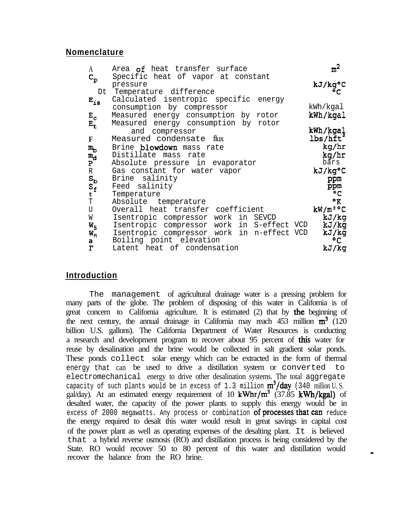#### **Nomenclature**

| A                         | Area of heat transfer surface                  | m <sup>2</sup>       |
|---------------------------|------------------------------------------------|----------------------|
| $\mathtt{c}_{\mathtt{p}}$ | Specific heat of vapor at constant<br>pressure | kJ/kg°C              |
|                           | Dt Temperature difference                      |                      |
| $E_{18}$                  | Calculated isentropic specific energy          |                      |
|                           | consumption by compressor                      | kWh/kgal             |
| $E_c$                     | Measured energy consumption by rotor           | kWh/kgal             |
| $E_{\rm t}$               | Measured energy consumption by rotor           |                      |
|                           | compressor<br>and                              | kWh/kgal             |
| F                         | Measured condensate flux                       | lbs/hft <sup>*</sup> |
| $m_{\rm b}$               | Brine blowdown mass rate                       | kg/hr                |
| $\mathtt{m}_\mathtt{d}$   | Distillate mass rate                           | kg/hr                |
| $\mathbf{P}$              | Absolute pressure in evaporator                | bars                 |
| R                         | Gas constant for water vapor                   | kJ/kg°C              |
| $S_{\mathbf{b}}$          | Brine salinity                                 | ppm                  |
| $s_f$                     | Feed salinity                                  | ppm                  |
| t                         | Temperature                                    | $^{\circ}$ C         |
| T                         | Absolute temperature                           | $\mathbf{R}$         |
| U                         | Overall heat transfer coefficient              | $kW/m^2$ °C          |
| W                         | Isentropic compressor work in<br>SEVCD         | kJ/kg                |
| $W_{5}$                   | Isentropic compressor work in S-effect VCD     | kJ/kg                |
| $W_{n}$                   | Isentropic compressor work in n-effect VCD     | kJ/kg                |
| a                         | Boiling point elevation                        | °C                   |
| $\Gamma$                  | Latent heat of condensation                    | kJ/kg                |

### **Introduction**

The management of agricultural drainage water is a pressing problem for many parts of the globe. The problem of disposing of this water in California is of great concern to California agriculture. It is estimated (2) that by the beginning of the next century, the annual drainage in California may reach 453 million  $m^3$  (120 billion U.S. gallons). The California Department of Water Resources is conducting a research and development program to recover about 95 percent of this water for reuse by desalination and the brine would be collected in salt gradient solar ponds. These ponds collect solar energy which can be extracted in the form of thermal energy that can be used to drive a distillation system or converted to electromechanical energy to drive other desalination systems. The total aggregate capacity of such plants would be in excess of 1.3 million  $m^3/day$  (340 million U.S. gal/day). At an estimated energy requirement of 10 kWhr/ $m^3$  (37.85 kWh/kgal) of desalted water, the capacity of the power plants to supply this energy would be in excess of 2000 megawatts. Any process or combination of processes that can reduce the energy required to desalt this water would result in great savings in capital cost of the power plant as well as operating expenses of the desalting plant. It is believed that a hybrid reverse osmosis (RO) and distillation process is being considered by the State. RO would recover 50 to 80 percent of this water and distillation would recover the balance from the RO brine.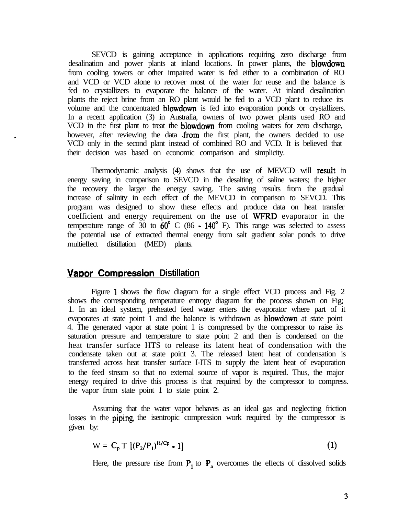SEVCD is gaining acceptance in applications requiring zero discharge from desalination and power plants at inland locations. In power plants, the **blowdown** from cooling towers or other impaired water is fed either to a combination of RO and VCD or VCD alone to recover most of the water for reuse and the balance is fed to crystallizers to evaporate the balance of the water. At inland desalination plants the reject brine from an RO plant would be fed to a VCD plant to reduce its volume and the concentrated **blowdown** is fed into evaporation ponds or crystallizers. In a recent application (3) in Australia, owners of two power plants used RO and VCD in the first plant to treat the **blowdown** from cooling waters for zero discharge, however, after reviewing the data from the first plant, the owners decided to use VCD only in the second plant instead of combined RO and VCD. It is believed that their decision was based on economic comparison and simplicity.

Thermodynamic analysis (4) shows that the use of MEVCD will result in energy saving in comparison to SEVCD in the desalting of saline waters; the higher the recovery the larger the energy saving. The saving results from the gradual increase of salinity in each effect of the MEVCD in comparison to SEVCD. This program was designed to show these effects and produce data on heat transfer coefficient and energy requirement on the use of WFRD evaporator in the temperature range of  $30$  to  $60^{\circ}$  C (86  $\cdot$  140<sup>°</sup> F). This range was selected to assess the potential use of extracted thermal energy from salt gradient solar ponds to drive multieffect distillation (MED) plants.

### **Vapor Compression Distillation**

Figure I shows the flow diagram for a single effect VCD process and Fig. 2 shows the corresponding temperature entropy diagram for the process shown on Fig; 1. In an ideal system, preheated feed water enters the evaporator where part of it evaporates at state point 1 and the balance is withdrawn as **blowdown** at state point 4. The generated vapor at state point 1 is compressed by the compressor to raise its saturation pressure and temperature to state point 2 and then is condensed on the heat transfer surface HTS to release its latent heat of condensation with the condensate taken out at state point 3. The released latent heat of condensation is transferred across heat transfer surface I-ITS to supply the latent heat of evaporation to the feed stream so that no external source of vapor is required. Thus, the major energy required to drive this process is that required by the compressor to compress. the vapor from state point 1 to state point 2.

Assuming that the water vapor behaves as an ideal gas and neglecting friction losses in the **piping**, the isentropic compression work required by the compressor is given by:

$$
W = Cp T [(P2/P1)R/Cp - 1]
$$
 (1)

Here, the pressure rise from  $P_1$  to  $P_a$  overcomes the effects of dissolved solids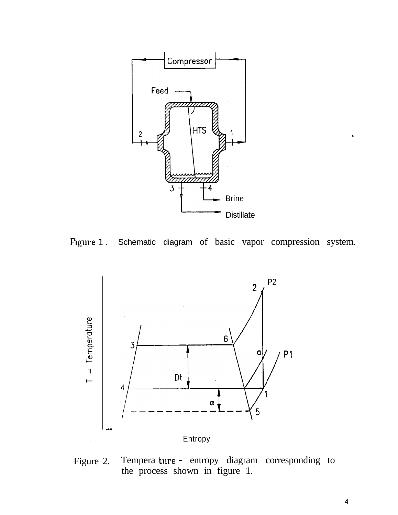





Figure 2. Tempera ture - entropy diagram corresponding to the process shown in figure 1.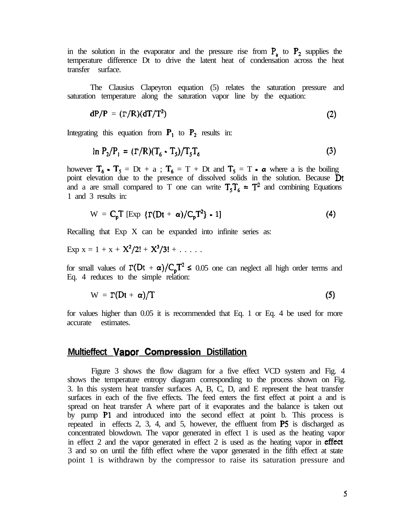in the solution in the evaporator and the pressure rise from  $P_a$  to  $P_2$  supplies the temperature difference Dt to drive the latent heat of condensation across the heat transfer surface.

The Clausius Clapeyron equation (5) relates the saturation pressure and saturation temperature along the saturation vapor line by the equation:

$$
dP/P = (T/R)(dT/T2)
$$
 (2)

Integrating this equation from  $P_1$  to  $P_2$  results in:

$$
\ln P_2/P_1 = (\Gamma/R)(T_6 - T_5)/T_5T_6 \tag{3}
$$

however  $T_6 \cdot T_5 = Dt + a$ ;  $T_6 = T + Dt$  and  $T_5 = T \cdot \alpha$  where a is the boiling point elevation due to the presence of dissolved solids in the solution. Because  $\mathbf{D}$ t and a are small compared to T one can write  $T<sub>5</sub>T<sub>6</sub> \approx T<sup>2</sup>$  and combining Equations 1 and 3 results in:

$$
W = C_p T \left[ Exp \{ \Gamma(Dt + \alpha) / C_p T^2 \} - 1 \right]
$$
 (4)

Recalling that Exp X can be expanded into infinite series as:

Exp  $x = 1 + x + X^2/2! + X^3/3! + ...$ 

for small values of  $\Gamma(Dt + \alpha)/C_pT^2 \le 0.05$  one can neglect all high order terms and Eq. 4 reduces to the simple relation:

$$
W = \Gamma(Dt + \alpha)/T
$$
 (5)

for values higher than 0.05 it is recommended that Eq. 1 or Eq. 4 be used for more accurate estimates.

#### **Multieffect Vapor Compression Distillation**

Figure 3 shows the flow diagram for a five effect VCD system and Fig. 4 shows the temperature entropy diagram corresponding to the process shown on Fig. 3. In this system heat transfer surfaces A, B, C, D, and E represent the heat transfer surfaces in each of the five effects. The feed enters the first effect at point a and is spread on heat transfer A where part of it evaporates and the balance is taken out by pump Pl and introduced into the second effect at point b. This process is repeated in effects 2, 3, 4, and 5, however, the effluent from PS is discharged as concentrated blowdown. The vapor generated in effect 1 is used as the heating vapor in effect 2 and the vapor generated in effect 2 is used as the heating vapor in effect 3 and so on until the fifth effect where the vapor generated in the fifth effect at state point 1 is withdrawn by the compressor to raise its saturation pressure and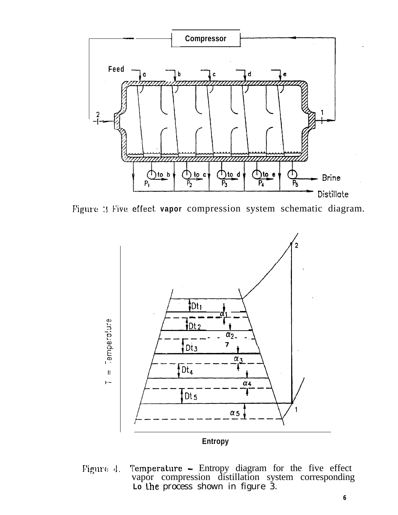

Figure : Five effect vapor compression system schematic diagram.



Figure 4. Temperature - Entropy diagram for the five effect vapor compression distillation system corresponding Lo the process shown in figure 3.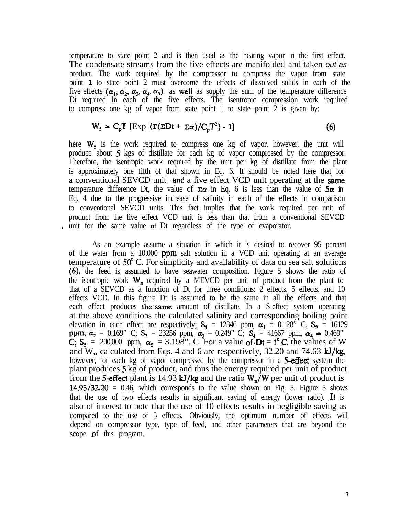temperature to state point 2 and is then used as the heating vapor in the first effect. The condensate streams from the five effects are manifolded and taken *out as* product. The work required by the compressor to compress the vapor from state point **1** to state point 2 must overcome the effects of dissolved solids in each of the five effects ( $\alpha_1$ ,  $\alpha_2$ ,  $\alpha_3$ ,  $\alpha_4$ ,  $\alpha_5$ ) as well as supply the sum of the temperature difference Dt required in each of the five effects. The isentropic compression work required to compress one kg of vapor from state point 1 to state point 2 is given by:

$$
W_s = C_p T \left[ \exp \left\{ \frac{\Gamma(\Sigma D t + \Sigma \alpha)}{C_p T^2} \right\} - 1 \right]
$$
 (6)

here  $W_5$  is the work required to compress one kg of vapor, however, the unit will produce about 5 kgs of distillate for each kg of vapor compressed by the compressor. Therefore, the isentropic work required by the unit per kg of distillate from the plant is approximately one fifth of that shown in Eq. 6. It should be noted here that for a conventional SEVCD unit and a five effect VCD unit operating at the **same** temperature difference Dt, the value of  $\Sigma \alpha$  in Eq. 6 is less than the value of  $5\alpha$  in Eq. 4 due to the progressive increase of salinity in each of the effects in comparison to conventional SEVCD units. This fact implies that the work required per unit of product from the five effect VCD unit is less than that from a conventional SEVCD : unit for the same value **of** Dt regardless of the type of evaporator.

As an example assume a situation in which it is desired to recover 95 percent of the water from a 10,000 ppm salt solution in a VCD unit operating at an average temperature of 50" C. For simplicity and availability of data on sea salt solutions (6), the feed is assumed to have seawater composition. Figure 5 shows the ratio of the isentropic work  $W_n$  required by a MEVCD per unit of product from the plant to that of a SEVCD as a function of Dt for three conditions; 2 effects, 5 effects, and 10 effects VCD. In this figure Dt is assumed to be the same in all the effects and that each effect produces the same amount of distillate. In a S-effect system operating at the above conditions the calculated salinity and corresponding boiling point elevation in each effect are respectively;  $S_1 = 12346$  ppm,  $\alpha_1 = 0.128$ " C,  $S_2 = 16129$ **ppm,**  $\alpha_2 = 0.169$  ° C;  $S_3 = 23256$  ppm,  $\alpha_3 = 0.249$  ° C;  $S_4 = 41667$  ppm,  $\alpha_4 = 0.469$  °  $C_5$ ,  $S_5$  = 200,000 ppm,  $\alpha_5$  = 3.198". C. For a value of  $Dt = 1^\circ C$ , the values of W and W,, calculated from Eqs. 4 and 6 are respectively, 32.20 and 74.63 kJ/kg, however, for each kg of vapor compressed by the compressor in a 5-effect system the plant produces 5 kg of product, and thus the energy required per unit of product from the 5-effect plant is 14.93 kJ/kg and the ratio  $W_n/W$  per unit of product is  $14.93/32.20 = 0.46$ , which corresponds to the value shown on Fig. 5. Figure 5 shows that the use of two effects results in significant saving of energy (lower ratio). It is also of interest to note that the use of 10 effects results in negligible saving as compared to the use of 5 effects. Obviously, the optimum number of effects will depend on compressor type, type of feed, and other parameters that are beyond the scope of this program.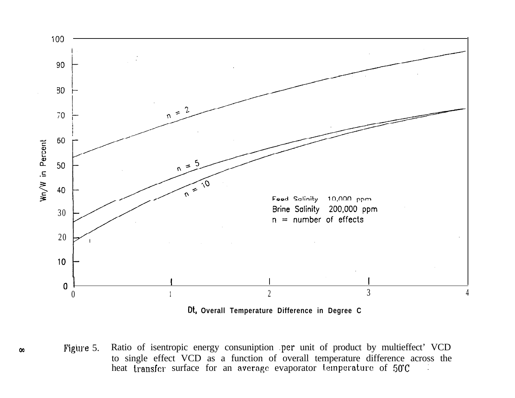

Dt, Overall Temperature Difference in Degree C

Ratio of isentropic energy consumiption per unit of product by multieffect' VCD Figure 5. to single effect VCD as a function of overall temperature difference across the heat transfer surface for an average evaporator temperature of 50°C

 $\infty$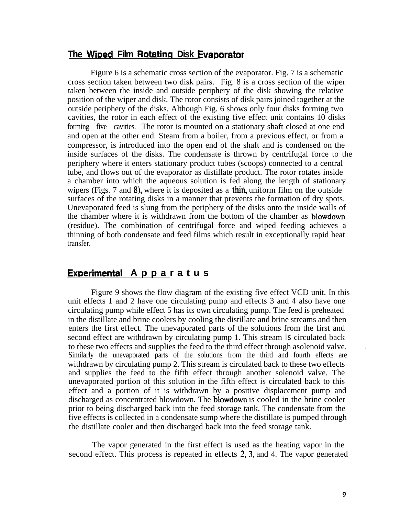## **The Wiped Film Rotating Disk Evaporator**

Figure 6 is a schematic cross section of the evaporator. Fig. 7 is a schematic cross section taken between two disk pairs. Fig. 8 is a cross section of the wiper taken between the inside and outside periphery of the disk showing the relative position of the wiper and disk. The rotor consists of disk pairs joined together at the outside periphery of the disks. Although Fig. 6 shows only four disks forming two cavities, the rotor in each effect of the existing five effect unit contains 10 disks forming five cavities. The rotor is mounted on a stationary shaft closed at one end and open at the other end. Steam from a boiler, from a previous effect, or from a compressor, is introduced into the open end of the shaft and is condensed on the inside surfaces of the disks. The condensate is thrown by centrifugal force to the periphery where it enters stationary product tubes (scoops) connected to a central tube, and flows out of the evaporator as distillate product. The rotor rotates inside a chamber into which the aqueous solution is fed along the length of stationary wipers (Figs. 7 and 8), where it is deposited as a thin, uniform film on the outside surfaces of the rotating disks in a manner that prevents the formation of dry spots. Unevaporated feed is slung from the periphery of the disks onto the inside walls of the chamber where it is withdrawn from the bottom of the chamber as blowdown (residue). The combination of centrifugal force and wiped feeding achieves a thinning of both condensate and feed films which result in exceptionally rapid heat transfer.

## **Exoerimental Apparatus**

Figure 9 shows the flow diagram of the existing five effect VCD unit. In this unit effects 1 and 2 have one circulating pump and effects 3 and 4 also have one circulating pump while effect 5 has its own circulating pump. The feed is preheated in the distillate and brine coolers by cooling the distillate and brine streams and then enters the first effect. The unevaporated parts of the solutions from the first and second effect are withdrawn by circulating pump 1. This stream *is* circulated back to these two effects and supplies the feed to the third effect through asolenoid valve. . Similarly the unevaporated parts of the solutions from the third and fourth effects are withdrawn by circulating pump 2. This stream is circulated back to these two effects and supplies the feed to the fifth effect through another solenoid valve. The unevaporated portion of this solution in the fifth effect is circulated back to this effect and a portion of it is withdrawn by a positive displacement pump and discharged as concentrated blowdown. The blowdown is cooled in the brine cooler prior to being discharged back into the feed storage tank. The condensate from the five effects is collected in a condensate sump where the distillate is pumped through the distillate cooler and then discharged back into the feed storage tank.

The vapor generated in the first effect is used as the heating vapor in the second effect. This process is repeated in effects 2, 3, and 4. The vapor generated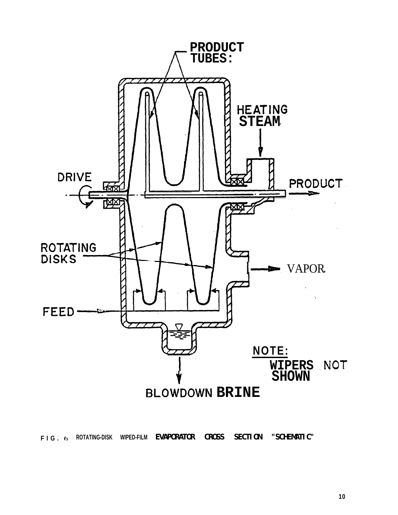

F I G . 6 ROTATING-DISK WIPED-FILM **EVAPORATOR CROSS SECTION "SCHEMITIC"**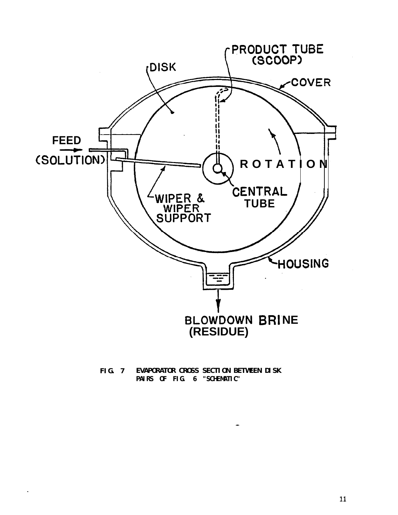

**EVAPORATOR CROSS SECTION BETWEEN DISK FIG.** 7 PAIRS OF FIG. 6 "SCHEMITIC"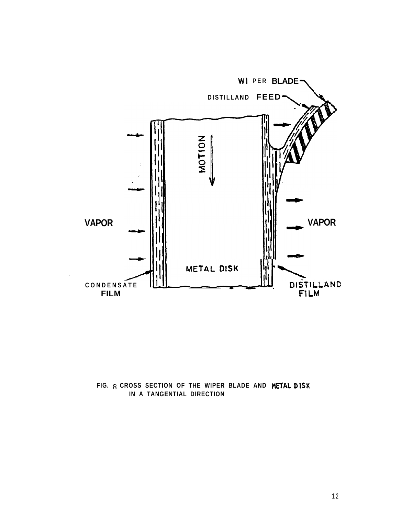

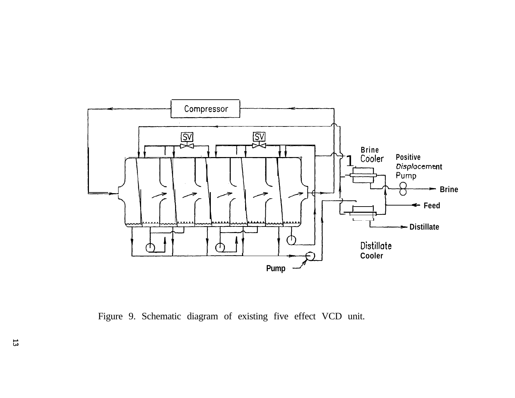

Figure 9. Schematic diagram of existing five effect VCD unit.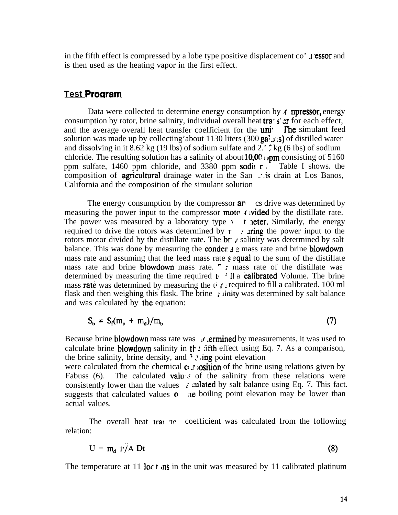in the fifth effect is compressed by a lobe type positive displacement co' **it** essor and is then used as the heating vapor in the first effect.

## **Test Program**

Data were collected to determine energy consumption by  $\epsilon$  npressor, energy consumption by rotor, brine salinity, individual overall heat tra- s: at for each effect, and the average overall heat transfer coefficient for the **uni<sup>** $\cdot$ **</sup> The** simulant feed solution was made up by collecting'about 1130 liters (300 ga;  $\sigma$ ; s) of distilled water and dissolving in it 8.62 kg (19 lbs) of sodium sulfate and 2.'  $\zeta$  kg (6 lbs) of sodium chloride. The resulting solution has a salinity of about 10,00  $\mu$ pm consisting of 5160 ppm sulfate, 1460 ppm chloride, and 3380 ppm sodil  $r$ . Table I shows. the composition of **agricultural** drainage water in the San  $\therefore$  is drain at Los Banos, California and the composition of the simulant solution

The energy consumption by the compressor  $a_n$  cs drive was determined by measuring the power input to the compressor **mote**  $\epsilon$  ivided by the distillate rate. The power was measured by a laboratory type  $\cdot$  t neter. Similarly, the energy required to drive the rotors was determined by  $\mathbf{r}$  .  $\mathbf{r}$  in  $\mathbf{r}$  in the power input to the rotors motor divided by the distillate rate. The  $\mathbf{b}$ r  $\cdot$  salinity was determined by salt balance. This was done by measuring the **conder**  $\lambda$   $\epsilon$  mass rate and brine **blowdown** mass rate and assuming that the feed mass rate  $\epsilon$  equal to the sum of the distillate mass rate and brine blowdown mass rate.  $\Gamma$   $\Gamma$  mass rate of the distillate was determined by measuring the time required  $t \cdot$  II a **calibrated** Volume. The brine mass **rate** was determined by measuring the ti  $\tau$ . required to fill a calibrated. 100 ml flask and then weighing this flask. The brine ;' linity was determined by salt balance and was calculated by the equation:

$$
S_b = S_f(m_b + m_d)/m_b \tag{7}
$$

Because brine blowdown mass rate was  $\pi$  ermined by measurements, it was used to calculate brine blowdown salinity in the :  $\pi$  ifth effect using Eq. 7. As a comparison, the brine salinity, brine density, and  $\ddot{\cdot}$  and  $\ddot{\cdot}$  ing point elevation

were calculated from the chemical  $c_{i}$ ,  $r$  osition of the brine using relations given by Fabuss (6). The calculated **valu**: of the salinity from these relations were consistently lower than the values  $\vec{\tau}$  culated by salt balance using Eq. 7. This fact. suggests that calculated values  $\sigma$  are boiling point elevation may be lower than actual values.

The overall heat trans the coefficient was calculated from the following relation:

$$
U = m_d \Gamma / A Dt
$$
 (8)

The temperature at 11 loc t  $\eta$  is in the unit was measured by 11 calibrated platinum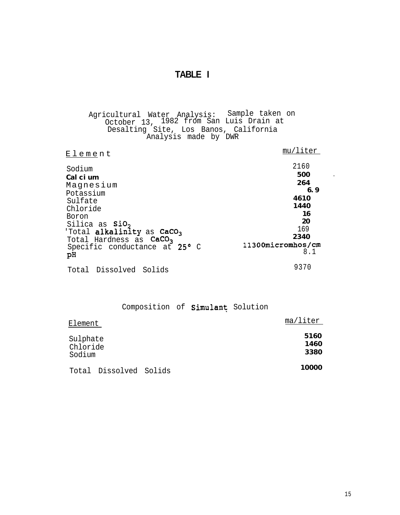## **TABLE I**

Agricultural Water Analysis: Sample taken on October 13, 1982 from San Luis Drain at Desalting Site, Los Banos, California Analysis made by DWR

| Element                                                                                                                                                                                                                           | mu/liter                                                                                         |
|-----------------------------------------------------------------------------------------------------------------------------------------------------------------------------------------------------------------------------------|--------------------------------------------------------------------------------------------------|
| Sodium<br>Calcium<br>Magnesium<br>Potassium<br>Sulfate<br>Chloride<br>Boron<br>Silica as SiO <sub>2</sub><br>'Total alkalinity as CaCO <sub>3</sub><br>Total Hardness as CaCO <sub>3</sub><br>Specific conductance at 25° C<br>рH | 2160<br>500<br>264<br>6.9<br>4610<br>1440<br>16<br>20<br>169<br>2340<br>11300micromhos/cm<br>8.1 |
| Total Dissolved Solids                                                                                                                                                                                                            | 9370                                                                                             |

### Composition of Simulant Solution

| Element                        |                        | ma/liter             |
|--------------------------------|------------------------|----------------------|
| Sulphate<br>Chloride<br>Sodium |                        | 5160<br>1460<br>3380 |
|                                | Total Dissolved Solids | 10000                |

 $\mathbb{Z}^2$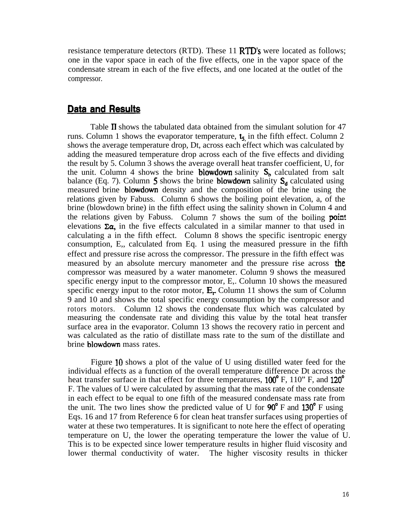resistance temperature detectors (RTD). These 11 **RTD's** were located as follows; one in the vapor space in each of the five effects, one in the vapor space of the condensate stream in each of the five effects, and one located at the outlet of the compressor.

## Data and Results

Table II shows the tabulated data obtained from the simulant solution for 47 runs. Column 1 shows the evaporator temperature,  $t_5$  in the fifth effect. Column 2 shows the average temperature drop, Dt, across each effect which was calculated by adding the measured temperature drop across each of the five effects and dividing the result by 5. Column 3 shows the average overall heat transfer coefficient, U, for the unit. Column 4 shows the brine **blowdown** salinity  $S_b$  calculated from salt balance (Eq. 7). Column 5 shows the brine blowdown salinity  $S_d$  calculated using measured brine blowdown density and the composition of the brine using the relations given by Fabuss. Column 6 shows the boiling point elevation, a, of the brine (blowdown brine) in the fifth effect using the salinity shown in Column 4 and the relations given by Fabuss. Column 7 shows the sum of the boiling **point** elevations  $\Sigma \alpha$ , in the five effects calculated in a similar manner to that used in calculating a in the fifth effect. Column 8 shows the specific isentropic energy consumption, E,, calculated from Eq. 1 using the measured pressure in the fifth effect and pressure rise across the compressor. The pressure in the fifth effect was measured by an absolute mercury manometer and the pressure rise across the compressor was measured by a water manometer. Column 9 shows the measured specific energy input to the compressor motor, E,. Column 10 shows the measured specific energy input to the rotor motor,  $E_r$  Column 11 shows the sum of Column 9 and 10 and shows the total specific energy consumption by the compressor and rotors motors. Column 12 shows the condensate flux which was calculated by measuring the condensate rate and dividing this value by the total heat transfer surface area in the evaporator. Column 13 shows the recovery ratio in percent and was calculated as the ratio of distillate mass rate to the sum of the distillate and brine blowdown mass rates.

Figure 10 shows a plot of the value of U using distilled water feed for the individual effects as a function of the overall temperature difference Dt across the heat transfer surface in that effect for three temperatures, 100<sup>°</sup> F, 110<sup>°</sup> F, and 120<sup>°</sup> F. The values of U were calculated by assuming that the mass rate of the condensate in each effect to be equal to one fifth of the measured condensate mass rate from the unit. The two lines show the predicted value of U for  $90^{\circ}$  F and  $130^{\circ}$  F using Eqs. 16 and 17 from Reference 6 for clean heat transfer surfaces using properties of water at these two temperatures. It is significant to note here the effect of operating temperature on U, the lower the operating temperature the lower the value of U. This is to be expected since lower temperature results in higher fluid viscosity and lower thermal conductivity of water. The higher viscosity results in thicker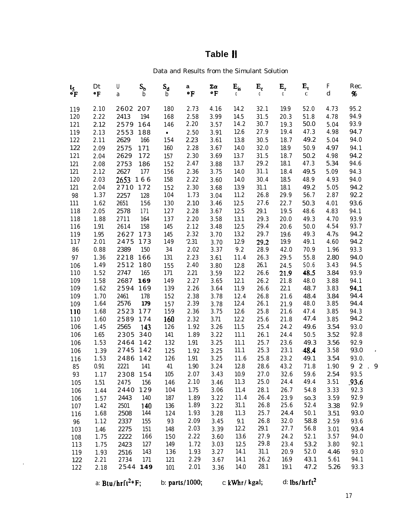# **Table II**

Data and Results from the Simulant Solution

| ts<br>°F   | Dt<br>$\cdot$ F | U<br>a     | $\mathbf{S_{b}}$<br>b | $S_d$<br>$\mathbf b$ | a<br>$\cdot$ F | Σα<br>$\cdot$ F | $E_{is}$<br>C | $\mathbf{E}_{\rm c}$<br>C | $\mathbf{E}_{\mathrm{r}}$<br>C | $E_{t}$<br>$\mathbf C$ | $\mathbf F$<br>${\bf d}$ | Rec.<br>$\pmb{\%}$ |           |
|------------|-----------------|------------|-----------------------|----------------------|----------------|-----------------|---------------|---------------------------|--------------------------------|------------------------|--------------------------|--------------------|-----------|
| 119        | 2.10            | 2602 207   |                       | 180                  | 2.73           | 4.16            | 14.2          | 32.1                      | 19.9                           | 52.0                   | 4.73                     | 95.2               |           |
| 120        | 2.22            | 2413       | 194                   | 168                  | 2.58           | 3.99            | 14.5          | 31.5                      | 20.3                           | 51.8                   | 4.78                     | 94.9               |           |
| 121        | 2.12            | 2579       | 164                   | 146                  | 2.20           | 3.57            | 14.2          | 30.7                      | 19.3                           | 50.0                   | 5.04                     | 93.9               |           |
| 119        | 2.13            | 2553       | 188                   | $\bullet$            | 2.50           | 3.91            | 12.6          | 27.9                      | 19.4                           | 47.3                   | 4.98                     | 94.7               |           |
| 122        | 2.11            | 2629       | 166                   | 154                  | 2.23           | 3.61            | 13.8          | 30.5                      | 18.7                           | 49.2                   | 5.04                     | 94.0               |           |
| 122        | 2.09            | 2575       | 171                   | 160                  | 2.28           | 3.67            | 14.0          | 32.0                      | 18.9                           | 50.9                   | 4.97                     | 94.1               |           |
| 121        | 2.04            | 2629       | 172                   | 157                  | $2.30\,$       | 3.69            | 13.7          | 31.5                      | 18.7                           | 50.2                   | 4.98                     | 94.2               |           |
| 121        | 2.08            | 2753       | 186                   | 152                  | 2.47           | 3.88            | 13.7          | $29.2\,$                  | 18.1                           | 47.3                   | 5.34                     | 94.6               |           |
| 121        | 2.12            | 2627       | 177                   | 156                  | 2.36           | 3.75            | 14.0          | 31.1                      | 18.4                           | 49.5                   | 5.09                     | 94.3               |           |
| 120        | 2.03            | $2653$ 166 |                       | 158                  | 2.22           | 3.60            | 14.0          | 30.4                      | 18.5                           | 48.9                   | 4.93                     | 94.0               |           |
| 121        | 2.04            | 2710 172   |                       | 152                  | 2.30           | 3.68            | 13.9          | 31.1                      | 18.1                           | 49.2                   | 5.05                     | 94.2               |           |
| 98         | 1.37            | 2257       | 128                   | 104                  | 1.73           | 3.04            | 11.2          | 26.8                      | 29.9                           | 56.7                   | 2.87                     | 92.2               |           |
| 111        | 1.62            | 2651       | 156                   | 130                  | 2.10           | 3.46            | 12.5          | 27.6                      | 22.7                           | 50.3                   | 4.01                     | 93.6               |           |
| 118        | 2.05            | 2578       | 171                   | 127                  | 2.28           | 3.67            | 12.5          | 29.1                      | 19.5                           | 48.6                   | 4.83                     | 94.1               |           |
| 118        | 1.88            | 2711       | 164                   | 137                  | 2.20           | 3.58            | 13.1          | 29.3                      | $20.0$                         | 49.3                   | 4.70                     | 93.9               |           |
| 116        | 1.91            | 2614       | 158                   | 145                  | 2.12           | 3.48            | 12.5          | 29.4                      | $20.6$                         | 50.0                   | 4.54                     | 93.7               |           |
| 119        | 1.95            | 2627       | 173                   | 145                  | 2.32           | 3.70            | 13.2          | 29.7                      | 19.6                           | 49.3                   | 4.7s                     | 94.2               |           |
| 117        | 2.01            | 2475       | 173                   | 149                  | 2.31           | 3.70            | 12.9          | 29.2                      | 19.9                           | 49.1                   | 4.60                     | 94.2               |           |
| ${\bf 86}$ | 0.88            | 2389       | 150                   | $3\sqrt{4}$          | $2.02\,$       | 3.37            | $9.2\,$       | 28.9                      | 42.0                           | 70.9                   | 1.96                     | 93.3               |           |
| 97         | 1.36            | 2218       | 166                   | 131                  | 2.23           | 3.61            | 11.4          | 26.3                      | 29.5                           | 55.8                   | 2.80                     | 94.0               |           |
| 106        | 1.49            | 2512       | 180                   | 155                  | 2.40           | 3.80            | 12.8          | 26.1                      | 24.5                           | S0.6                   | 3.43                     | 94.5               |           |
| 110        | 1.52            | 2747       | 165                   | 171                  | 2.21           | 3.59            | 12.2          | 26.6                      | 21.9                           | 48.5                   | 3.84                     | 93.9               |           |
| 109        | 1.58            | 2687       | 169                   | 149                  | 2.27           | 3.65            | 12.1          | 26.2                      | 21.8                           | 48.0                   | 3.88                     | 94.1               |           |
| 109        | 1.62            | 2594 169   |                       | 139                  | 2.26           | 3.64            | 11.9          | 26.6                      | 22.1                           | 48.7                   | 3.83                     | 94.1               |           |
| 109        | 1.70            | 2461       | 178                   | 152                  | 2.38           | 3.78            | 12.4          | 26.8                      | 21.6                           | 48.4                   | 3.84                     | 94.4               |           |
| 109        | 1.64            | 2576       | 179                   | 157                  | 2.39           | 3.78            | 12.4          | 26.1                      | 21.9                           | 48.0                   | 3.85                     | 94.4               |           |
| 110        | 1.68            | 2523       | 177                   | 159                  | $2.36\,$       | 3.75            | 12.6          | 25.8                      | $21.6\,$                       | 47.4                   | 3.85                     | 94.3               |           |
| 110        | 1.60            | 2589       | 174                   | 160                  | $2.32\,$       | 3.71            | 12.2          | 25.6                      | 21.8                           | 47.4                   | 3.85                     | 94.2               |           |
| 106        | 1.45            | 2565       | 143                   | 126                  | 1.92           | 3.26            | 11.5          | 25.4                      | 24.2                           | 49.6                   | 3.54                     | 93.0               |           |
| 106        | $1.65\,$        | 2305       | 340                   | 141                  | 1.89           | 3.22            | 11.1          | 26.1                      | 24.4                           | $50.5\,$               | 3.52                     | 92.8               |           |
| 106        | 1.53            | 2464 142   |                       | 132                  | 1.91           | 3.25            | $11.1\,$      | 25.7                      | 23.6                           | 49.3                   | 3.56                     | 92.9               |           |
| 106        | 1.39            | 2745       | 142                   | 125                  | 1.92           | 3.25            | $11.1\,$      | 25.3                      | 23.1                           | $-48.4$                | 3.58                     | 93.0               | $\bullet$ |
| 116        | 1.53            | 2486       | 142                   | 126                  | 1.91           | 3.25            | 11.6          | 25.8                      | 23.2                           | 49.1                   | 3.54                     | 93.0.              |           |
| 85         | 0.91            | 2221       | 141                   | 41                   | 1.90           | 3.24            | 12.8          | 28.6                      | 43.2                           | 71.8                   | 1.90                     | 9 2                | 9         |
| 93         | 1.17            | 2308       | 154                   | 105                  | 2.07           | 3.43            | $10.9\,$      | $27.0\,$                  | 32.6                           | 59.6                   | 2.54                     | 93.5               |           |
| 105        | 1.51            | 2475       | 156                   | 146                  | 2.10           | 3.46            | 11.3          | 25.0                      | 24.4                           | 49.4                   | 3.51                     | .93.6              |           |
| 106        | 1.44            | 2440       | 129                   | 104                  | 1.75           | 3.06            | 11.4          | 28.1                      | 26.7                           | 54.8                   | 3.33                     | 92.3               |           |
| 106        | 1.57            | 2443       | 140                   | 187                  | 1.89           | 3.22            | 11.4          | 26.4                      | 23.9                           | so.3                   | 3.59                     | 92.9               |           |
| 107        | 1.42            | 2501       | 140                   | 136                  | 1.89           | 3.22            | 31.1          | 26.8                      | 25.6                           | 52.4                   | 3.38                     | 92.9               |           |
| 116        | 1.68            | 2508       | 144                   | 124                  | 1.93           | 3.28            | 11.3          | 25.7                      | 24.4                           | 50.1                   | 3.51                     | 93.0               |           |
| 96         | 1.12            | 2337       | 155                   | 93                   | 2.09           | 3.45            | 9.1           | 26.8                      | 32.0                           | 58.8                   | 2.59                     | 93.6               |           |
| 103        | 1.46            | 2275       | 151                   | 148                  | 2.03           | 3.39            | 12.2          | 29.1                      | 27.7                           | 56.8                   | 3.01                     | 93.4               |           |
| 108        | 1.75            | 2222       | 166                   | 150                  | 2.22           | 3.60            | 13.6          | 27.9                      | 24.2                           | 52.1                   | 3.57                     | 94.0               |           |
| 113        | 1.75            | 2423       | 127                   | 149                  | 1.72           | 3.03            | 12.5          | 29.8                      | 23.4                           | 53.2                   | 3.80                     | 92.1               |           |
| 119        | 1.93            | 2516       | 143                   | 136                  | 1.93           | 3.27            | 14.1          | 31.1                      | 20.9                           | 52.0                   | 4.46                     | 93.0               |           |
| 122        | 2.21            | 2734       | 171                   | 121                  | 2.29           | 3.67            | 14.1          | 26.2<br>28.1              | 16.9                           | 43.1                   | 5.61                     | 94.1               |           |
| 122        | 2.18            |            | 2544 149              | 101                  | 2.01           | 3.36            | 14.0          |                           | 19.1                           | 47.2                   | 5.26                     | 93.3               |           |

 $\hat{\mathbf{r}}$ 

a: Btu/hrft<sup>2</sup>°F; b: parts/1000; c: kWhr/ kgal; d: lbs/hrft<sup>2</sup>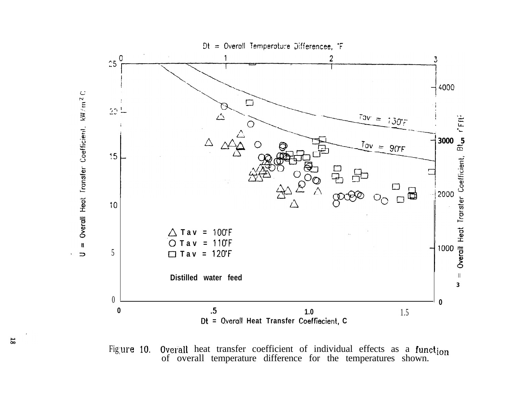

Overall heat transfer coefficient of individual effects as a function of overall temperature difference for the temperatures shown. Figure 10.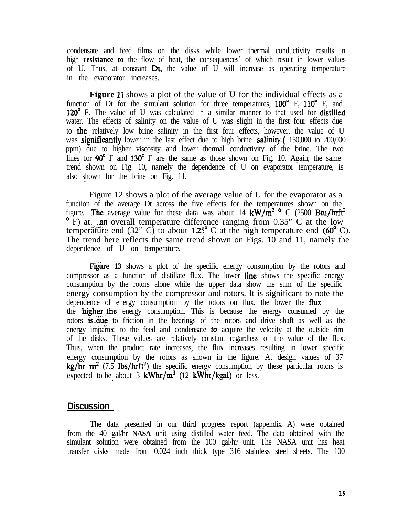condensate and feed films on the disks while lower thermal conductivity results in high **resistance to** the flow of heat, the consequences' of which result in lower values of U. Thus, at constant Dt, the value of U will increase as operating temperature in the evaporator increases.

**Figure** 11 shows a plot of the value of U for the individual effects as a function of Dt for the simulant solution for three temperatures;  $100^\circ$  F,  $110^\circ$  F, and 120° F. The value of U was calculated in a similar manner to that used for **distilled** water. The effects of salinity on the value of U was slight in the first four effects due to the relatively low brine salinity in the first four effects, however, the value of U was **significantly** lower in the last effect due to high brine **salinity.** (150,000 to 200,000 ppm) due to higher viscosity and lower thermal conductivity of the brine. The two lines for  $90^{\circ}$  F and  $130^{\circ}$  F are the same as those shown on Fig. 10. Again, the same trend shown on Fig. 10, namely the dependence of U on evaporator temperature, is also shown for the brine on Fig. 11. .

Figure 12 shows a plot of the average value of U for the evaporator as a function of the average Dt across the five effects for the temperatures shown on the figure. The average value for these data was about 14 kW/m<sup>2</sup> ° C (2500 Btu/hrft<sup>2</sup>  $\degree$  F) at. an overall temperature difference ranging from 0.35" C at the low temperature end (32" C) to about  $1.25^{\circ}$  C at the high temperature end (60 $^{\circ}$  C). The trend here reflects the same trend shown on Figs. 10 and 11, namely the dependence of U on temperature.

**Figure 13** shows a plot of the specific energy consumption by the rotors and compressor as a function of distillate flux. The lower line shows the specific energy consumption by the rotors alone while the upper data show the sum of the specific energy consumption by the compressor and rotors. It is significant to note the dependence of energy consumption by the rotors on flux, the lower the **flux** the **higher the** energy consumption. This is because the energy consumed by the rotors is due to friction in the bearings of the rotors and drive shaft as well as the energy imparted to the feed and condensate *to* acquire the velocity at the outside rim of the disks. These values are relatively constant regardless of the value of the flux. Thus, when the product rate increases, the flux increases resulting in lower specific energy consumption by the rotors as shown in the figure. At design values of 37 kg/hr  $m^2$  (7.5 lbs/hrft<sup>2</sup>) the specific energy consumption by these particular rotors is expected to-be about 3  $kWhr/m^3$  (12  $kWhr/kgal$ ) or less.

### **Discussion**

The data presented in our third progress report (appendix A) were obtained from the 40 gal/hr **NASA** unit using distilled water feed. The data obtained with the simulant solution were obtained from the 100 gal/hr unit. The NASA unit has heat transfer disks made from 0.024 inch thick type 316 stainless steel sheets. The 100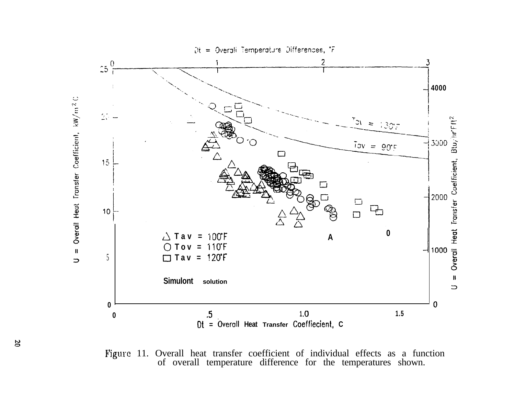

Figure 11. Overall heat transfer coefficient of individual effects as a function of overall temperature difference for the temperatures shown.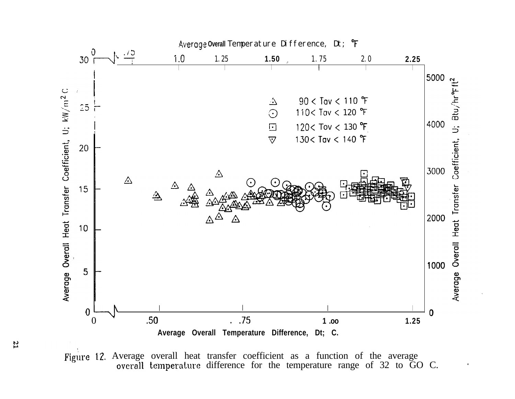

Figure 12. Average overall heat transfer coefficient as a function of the average overall temperature difference for the temperature range of 32 to GO C.

 $\mathfrak{r}$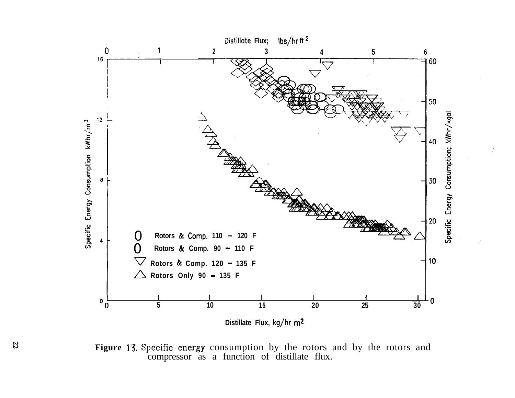

**Figure 13.** Specific energy consumption by the rotors and by the rotors and compressor as a function of distillate flux.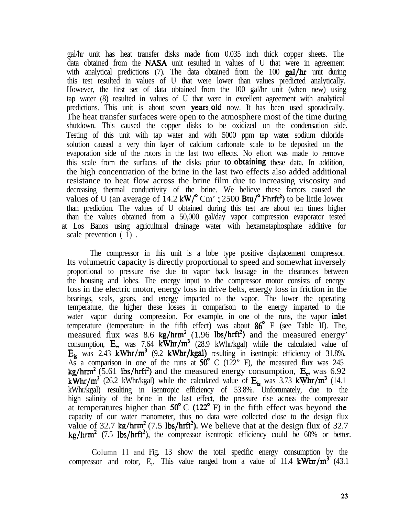gal/hr unit has heat transfer disks made from 0.035 inch thick copper sheets. The data obtained from the NASA unit resulted in values of U that were in agreement with analytical predictions (7). The data obtained from the 100 gal/hr unit during this test resulted in values of U that were lower than values predicted analytically. However, the first set of data obtained from the 100 gal/hr unit (when new) using tap water (8) resulted in values of U that were in excellent agreement with analytical predictions. This unit is about seven **years old** now. It has been used sporadically. The heat transfer surfaces were open to the atmosphere most of the time during shutdown. This caused the copper disks to be oxidized on the condensation side. Testing of this unit with tap water and with 5000 ppm tap water sodium chloride solution caused a very thin layer of calcium carbonate scale to be deposited on the evaporation side of the rotors in the last two effects. No effort was made to remove this scale from the surfaces of the disks prior to.obtaining these data. In addition, the high concentration of the brine in the last two effects also added additional resistance to heat flow across the brine film due to increasing viscosity and decreasing thermal conductivity of the brine. We believe these factors caused the values of U (an average of 14.2 kW/ $^{\circ}$  Cm'; 2500 Btu/ $^{\circ}$  Fhrft<sup>2</sup>) to be little lower than prediction. The values of U obtained during this test are about ten times higher than the values obtained from a 50,000 gal/day vapor compression evaporator tested at Los Banos using agricultural drainage water with hexametaphosphate additive for scale prevention ( 1) .

The compressor in this unit is a lobe type positive displacement compressor. Its volumetric capacity is directly proportional to speed and somewhat inversely proportional to pressure rise due to vapor back leakage in the clearances between the housing and lobes. The energy input to the compressor motor consists of energy loss in the electric motor, energy loss in drive belts, energy loss in friction in the bearings, seals, gears, and energy imparted to the vapor. The lower the operating temperature, the higher these losses in comparison to the energy imparted to the water vapor during compression. For example, in one of the runs, the vapor **inlet** temperature (temperature in the fifth effect) was about 86" F (see Table II). The, measured flux was 8.6 kg/hrm<sup>2</sup> (1.96 lbs/hrft<sup>2</sup>) and the measured energy' consumption,  $E_e$ , was 7.64 kWhr/ $m^3$  (28.9 kWhr/kgal) while the calculated value of  $E_{is}$  was 2.43 kWhr/m<sup>3</sup> (9.2 kWhr/kgal) resulting in isentropic efficiency of 31.8%. As a comparison in one of the runs at  $50^{\circ}$  C (122" F), the measured flux was 245 kg/hrm<sup>2</sup> (5.61 lbs/hrft<sup>2</sup>) and the measured energy consumption,  $E_c$ , was 6.92 kWhr/m<sup>3</sup> (26.2 kWhr/kgal) while the calculated value of  $E_{is}$  was 3.73 kWhr/m<sup>3</sup> (14.1) kWhr/kgal) resulting in isentropic efficiency of 53.8%. Unfortunately, due to the high salinity of the brine in the last effect, the pressure rise across the compressor at temperatures higher than  $50^{\circ}$  C (122 $^{\circ}$  F) in the fifth effect was beyond the capacity of our water manometer, thus no data were collected close to the design flux value of 32.7 kg/hrm<sup>2</sup> (7.5 lbs/hrft<sup>2</sup>). We believe that at the design flux of 32.7  $kg/hrm<sup>2</sup>$  (7.5 lbs/hrft<sup>2</sup>), the compressor isentropic efficiency could be 60% or better.

Column 11 and Fig. 13 show the total specific energy consumption by the compressor and rotor, E<sub>n</sub>. This value ranged from a value of 11.4  $\text{kWhr/m}^3$  (43.1)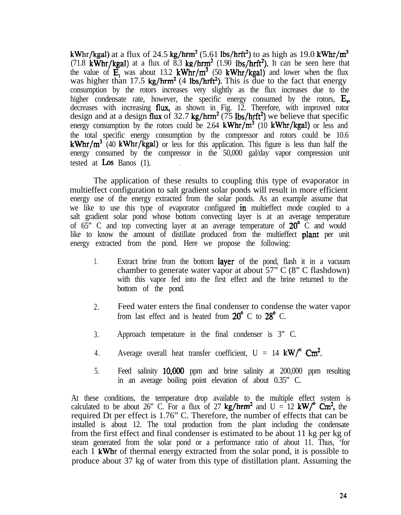kWhr/kgal) at a flux of 24.5 kg/hrm<sup>2</sup> (5.61 lbs/hrft<sup>2</sup>) to as high as 19.0 kWhr/m<sup>3</sup> (71.8 kWhr/kgal) at a flux of 8.3 kg/hrm<sup>2</sup> (1.90 lbs/hrft<sup>2</sup>). It can be seen here that the value of  $\mathbf{E}$ , was about 13.2 kWhr/m<sup>3</sup> (50 kWhr/kgal) and lower when the flux was higher than 17.5 kg/hrm<sup>2</sup> (4 lbs/hrft<sup>2</sup>). This is due to the fact that energy consumption by the rotors increases very slightly as the flux increases due to the higher condensate rate, however, the specific energy consumed by the rotors,  $E_r$ decreases with increasing **flux**, as shown in Fig. 12. Therefore, with improved rotor design and at a design flux of 32.7 kg/hrm<sup>2</sup> ( $\frac{75 \text{ lbs}}{\text{hrft}^2}$ ) we believe that specific energy consumption by the rotors could be 2.64 kWhr/ $m^3$  (10 kWhr/kgal) or less and the total specific energy consumption by the compressor and rotors could be 10.6  $kWhr/m<sup>3</sup>$  (40 kWhr/kgal) or less for this application. This figure is less than half the energy consumed by the compressor in the 50,000 gal/day vapor compression unit tested at  $\text{Los Banos}$  (1).

The application of these results to coupling this type of evaporator in multieffect configuration to salt gradient solar ponds will result in more efficient energy use of the energy extracted from the solar ponds. As an example assume that we like to use this type of evaporator configured in multieffect mode coupled to a salt gradient solar pond whose bottom convecting layer is at an average temperature of 65" C and top convecting layer at an average temperature of  $20^{\circ}$  C and would like to know the amount of distillate produced from the multieffect **plant** per unit energy extracted from the pond. Here we propose the following:

- 1. Extract brine from the bottom layer of the pond, flash it in a vacuum chamber to generate water vapor at about 57" C (8" C flashdown) with this vapor fed into the first effect and the brine returned to the bottom of the pond.
- 2. Feed water enters the final condenser to condense the water vapor from last effect and is heated from  $20^{\circ}$  C to  $28^{\circ}$  C.
- 3. Approach temperature in the final condenser is 3" C.
- 4. Average overall heat transfer coefficient,  $U = 14 \text{ kW}^{\circ} \text{ cm}^2$ .
- 5. Feed salinity 10,ooO ppm and brine salinity at 200,000 ppm resulting in an average boiling point elevation of about 0.35" C.

At these conditions, the temperature drop available to the multiple effect system is calculated to be about 26" C. For a flux of 27 kg/hrm<sup>2</sup> and U = 12 kW/<sup>o</sup> Cm<sup>2</sup>, the required Dt per effect is 1.76" C. Therefore, the number of effects that can be installed is about 12. The total production from the plant including the condensate from the first effect and final condenser is estimated to be about 11 kg per kg of steam generated from the solar pond or a performance ratio of about 11. Thus, 'for each 1 kWhr of thermal energy extracted from the solar pond, it is possible to produce about 37 kg of water from this type of distillation plant. Assuming the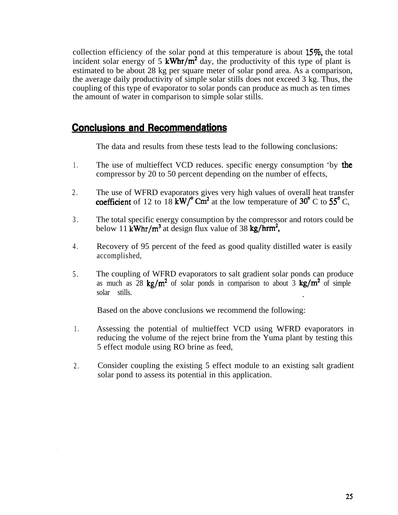collection efficiency of the solar pond at this temperature is about 15%, the total incident solar energy of 5 kWhr/ $\overline{m}^2$  day, the productivity of this type of plant is estimated to be about 28 kg per square meter of solar pond area. As a comparison, the average daily productivity of simple solar stills does not exceed 3 kg. Thus, the coupling of this type of evaporator to solar ponds can produce as much as ten times the amount of water in comparison to simple solar stills.

## **Conclusions and Recommendations**

The data and results from these tests lead to the following conclusions:

- 1 . The use of multieffect VCD reduces. specific energy consumption 'by the compressor by 20 to 50 percent depending on the number of effects,
- 2 . The use of WFRD evaporators gives very high values of overall heat transfer coefficient of 12 to  $18$  kW/ $^{\circ}$  Cm<sup>2</sup> at the low temperature of 30 $^{\circ}$  C to 55 $^{\circ}$  C,
- 3 . The total specific energy consumption by the compressor and rotors could be below 11 kWhr/m<sup>3</sup> at design flux value of 38 kg/hrm<sup>2</sup>,
- 4 . Recovery of 95 percent of the feed as good quality distilled water is easily accomplished,
- 5 . The coupling of WFRD evaporators to salt gradient solar ponds can produce as much as  $28 \text{ kg/m}^2$  of solar ponds in comparison to about  $3 \text{ kg/m}^2$  of simple solar stills. .

Based on the above conclusions we recommend the following:

- 1 . Assessing the potential of multieffect VCD using WFRD evaporators in reducing the volume of the reject brine from the Yuma plant by testing this 5 effect module using RO brine as feed,
- 2. Consider coupling the existing 5 effect module to an existing salt gradient solar pond to assess its potential in this application.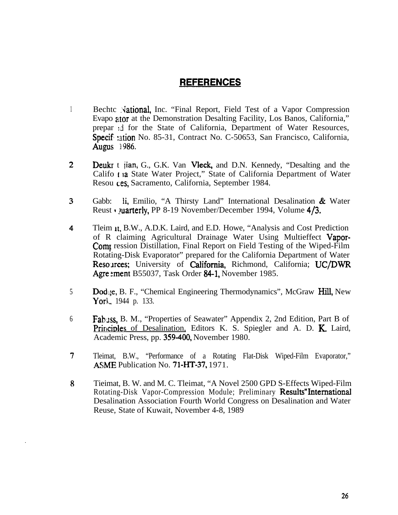## **REFERENCES**

- $\mathbf{1}$ Bechtc National, Inc. "Final Report, Field Test of a Vapor Compression Evapo ator at the Demonstration Desalting Facility, Los Banos, California," prepar : i for the State of California, Department of Water Resources, Specif: ation No. 85-31, Contract No. C-50653, San Francisco, California, Augus 1986.
- $\overline{2}$ **Deukr** t jian, G., G.K. Van Vleck, and D.N. Kennedy, "Desalting and the Califo **1** 12 State Water Project," State of California Department of Water Resou ces, Sacramento, California, September 1984.
- $3<sup>1</sup>$ Gabb: li, Emilio, "A Thirsty Land" International Desalination & Water Reust Quarterly, PP 8-19 November/December 1994, Volume  $4/3$ .
- $\overline{4}$ Tleim It, B.W., A.D.K. Laird, and E.D. Howe, "Analysis and Cost Prediction of R claiming Agricultural Drainage Water Using Multieffect Vapor-**Comparent** ression Distillation, Final Report on Field Testing of the Wiped-Film Rotating-Disk Evaporator" prepared for the California Department of Water Resources; University of California, Richmond, California; UC/DWR Agreement B55037, Task Order 84-1, November 1985.
- Dodge, B. F., "Chemical Engineering Thermodynamics", McGraw Hill, New  $5\overline{)}$ Yorl, 1944 p. 133.
- 6 Fabuss, B. M., "Properties of Seawater" Appendix 2, 2nd Edition, Part B of Principles of Desalination, Editors K. S. Spiegler and A. D. K. Laird, Academic Press, pp. 359-400, November 1980.
- $7<sup>1</sup>$ Tleimat, B.W., "Performance of a Rotating Flat-Disk Wiped-Film Evaporator," ASME Publication No. 71-HT-37, 1971.
- 8 Tieimat, B. W. and M. C. Tleimat, "A Novel 2500 GPD S-Effects Wiped-Film Rotating-Disk Vapor-Compression Module; Preliminary Results"International Desalination Association Fourth World Congress on Desalination and Water Reuse, State of Kuwait, November 4-8, 1989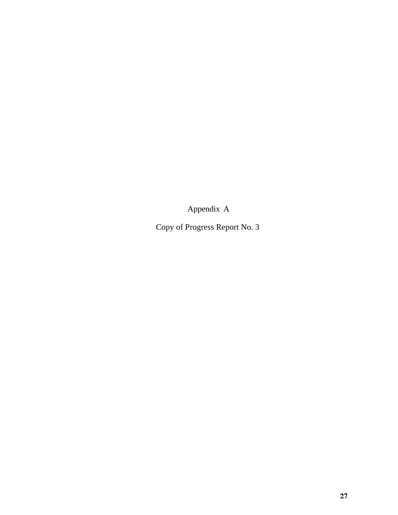Appendix A

Copy of Progress Report No. 3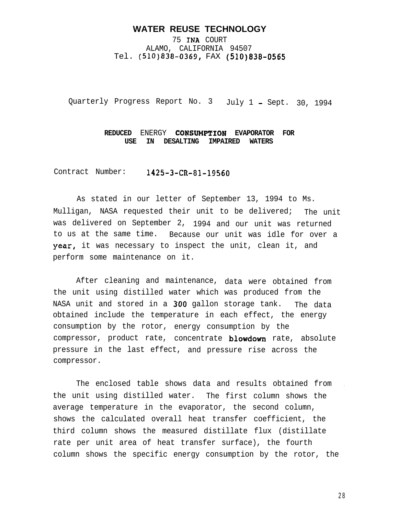#### **WATER REUSE TECHNOLOGY**

75 INA COURT ALAMO, CALIFORNIA 94507 Tel. (510)838-0369, FAX (510)838-0565

Quarterly Progress Report No. 3 July 1 - Sept. 30, 1994

#### **REDUCED** ENERGY **CONSUMPTION EVAPORATOR FOR USE IN DESALTING IMPAIRED WATERS**

Contract Number: 1425-3-CR-81-19560

As stated in our letter of September 13, 1994 to Ms. Mulligan, NASA requested their unit to be delivered; The unit was delivered on September 2, 1994 and our unit was returned to us at the same time. Because our unit was idle for over a year, it was necessary to inspect the unit, clean it, and perform some maintenance on it.

After cleaning and maintenance, data were obtained from the unit using distilled water which was produced from the NASA unit and stored in a 300 gallon storage tank. The data obtained include the temperature in each effect, the energy consumption by the rotor, energy consumption by the compressor, product rate, concentrate **blowdown** rate, absolute pressure in the last effect, and pressure rise across the compressor.

The enclosed table shows data and results obtained from . the unit using distilled water. The first column shows the average temperature in the evaporator, the second column, shows the calculated overall heat transfer coefficient, the third column shows the measured distillate flux (distillate rate per unit area of heat transfer surface), the fourth column shows the specific energy consumption by the rotor, the

2 8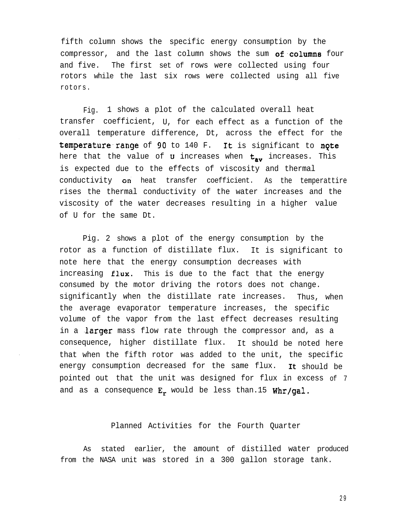fifth column shows the specific energy consumption by the compressor, and the last column shows the sum of columns four and five. The first set of rows were collected using four rotors while the last six rows were collected using all five rotors.

Fig. 1 shows a plot of the calculated overall heat transfer coefficient, U, for each effect as a function of the overall temperature difference, Dt, across the effect for the temperature range of 90 to 140 F. It is significant to note here that the value of **U** increases when  $t_{av}$  increases. This is expected due to the effects of viscosity and thermal conductivity on heat transfer coefficient. As the temperattire rises the thermal conductivity of the water increases and the viscosity of the water decreases resulting in a higher value of U for the same Dt.

Pig. 2 shows a plot of the energy consumption by the rotor as a function of distillate flux. It is significant to note here that the energy consumption decreases with increasing  $flux.$  This is due to the fact that the energy consumed by the motor driving the rotors does not change. significantly when the distillate rate increases. Thus, when the average evaporator temperature increases, the specific volume of the vapor from the last effect decreases resulting in a **larger** mass flow rate through the compressor and, as a consequence, higher distillate flux. It should be noted here that when the fifth rotor was added to the unit, the specific energy consumption decreased for the same flux. **It** should be pointed out that the unit was designed for flux in excess of 7 and as a consequence  $E_r$  would be less than.15 Whr/gal.

#### Planned Activities for the Fourth Quarter

As stated earlier, the amount of distilled water produced from the NASA unit was stored in a 300 gallon storage tank.

2 9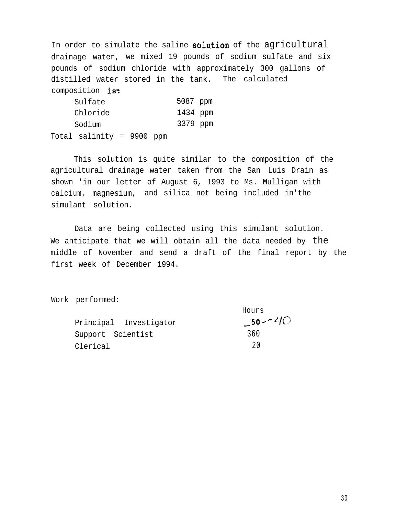In order to simulate the saline solution of the agricultural drainage water, we mixed 19 pounds of sodium sulfate and six pounds of sodium chloride with approximately 300 gallons of distilled water stored in the tank. The calculated composition is:

|          | Sulfate                   |  |  | 5087 ppm |  |
|----------|---------------------------|--|--|----------|--|
| Chloride | 1434 ppm                  |  |  |          |  |
|          | Sodium                    |  |  | 3379 ppm |  |
|          | Total salinity = 9900 ppm |  |  |          |  |

This solution is quite similar to the composition of the agricultural drainage water taken from the San Luis Drain as shown 'in our letter of August 6, 1993 to Ms. Mulligan with calcium, magnesium, and silica not being included in'the simulant solution.

Data are being collected using this simulant solution. We anticipate that we will obtain all the data needed by the middle of November and send a draft of the final report by the first week of December 1994.

Hours

Work performed:

|                        | 11 U U L D |
|------------------------|------------|
| Principal Investigator | $-50 - 40$ |
| Support Scientist      | 360        |
| Clerical               | 20         |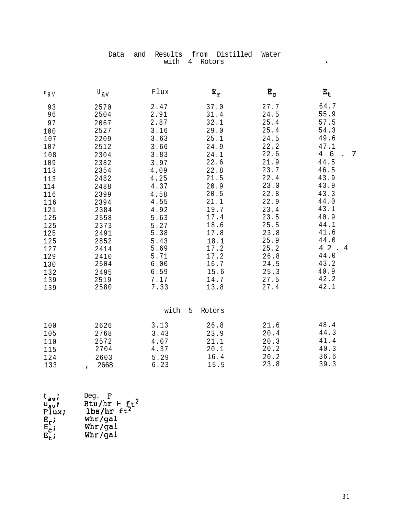|  |               | Data and Results from Distilled Water |  |
|--|---------------|---------------------------------------|--|
|  | with 4 Rotors |                                       |  |

| $t$ a v | $^{\mathtt{U}}$ av | Flux | $E_r$       | $E_c$ | $E_t$               |
|---------|--------------------|------|-------------|-------|---------------------|
| 93      | 2570               | 2.47 | 37.0        | 27.7  | 64.7                |
| 96      | 2504               | 2.91 | 31.4        | 24.5  | 55.9                |
| 97      | 2067               | 2.87 | 32.1        | 25.4  | 57.5                |
| 100     | 2527               | 3.16 | 29.0        | 25.4  | 54.3                |
| 107     | 2209               | 3.63 | 25.1        | 24.5  | 49.6                |
| 107     | 2512               | 3.66 | 24.9        | 22.2  | 47.1                |
| 108     | 2304               | 3.83 | 24.1        | 22.6  | 6<br>$\overline{4}$ |
| 109     | 2382               | 3.97 | 22.6        | 21.9  | 44.5                |
| 113     | 2354               | 4.09 | 22.8        | 23.7  | 46.5                |
| 113     | 2482               | 4.25 | 21.5        | 22.4  | 43.9                |
| 114     | 2488               | 4.37 | 20.9        | 23.0  | 43.9                |
| 116     | 2399               | 4.58 | 20.5        | 22.8  | 43.3                |
| 116     | 2394               | 4.55 | 21.1        | 22.9  | 44.0                |
| 121     | 2384               | 4.92 | 19.7        | 23.4  | 43.1                |
| 125     | 2558               | 5.63 | 17.4        | 23.5  | 40.9                |
| 125     | 2373               | 5.27 | 18.6        | 25.5  | 44.1                |
| 125     | 2491               | 5.38 | 17.8        | 23.8  | 41.6                |
| 125     | 2852               | 5.43 | 18.1        | 25.9  | 44.0                |
| 127     | 2414               | 5.69 | 17.2        | 25.2  | 4 2<br>4            |
| 129     | 2410               | 5.71 | 17.2        | 26.8  | 44.0                |
| 130     | 2504               | 6.00 | 16.7        | 24.5  | 43.2                |
| 132     | 2495               | 6.59 | 15.6        | 25.3  | 40.9                |
| 139     | 2519               | 7.17 | 14.7        | 27.5  | 42.2                |
| 139     | 2580               | 7.33 | 13.8        | 27.4  | 42.1                |
|         |                    | with | 5<br>Rotors |       |                     |
| 100     | 2626               | 3.13 | 26.8        | 21.6  | 48.4                |
| 105     | 2768               | 3.43 | 23.9        | 20.4  | 44.3                |
| 110     | 2572               | 4.07 | 21.1        | 20.3  | 41.4                |
| 115     | 2704               | 4.37 | 20.1        | 20.2  | 40.3                |
| 124     | 2603               | 5.29 | 16.4        | 20.2  | 36.6                |
| 133     | 2668               | 6.23 | 15.5        | 23.8  | 39.3                |

| $t$ <sub>av</sub> i      | Deq. $\mathbf{F}$                |
|--------------------------|----------------------------------|
| $v_{av}$                 |                                  |
| $\overline{\text{Flux}}$ | Btu/hr $F ft^2$<br>lbs/hr $ft^2$ |
| $E_r$ ;                  | Whr/gal                          |
| $E_{\mathbf{C}}$         | Whr/gal                          |
| $E_{+}$ ;                | Whr/gal                          |

 $\ddot{\bullet}$ 

 $\overline{7}$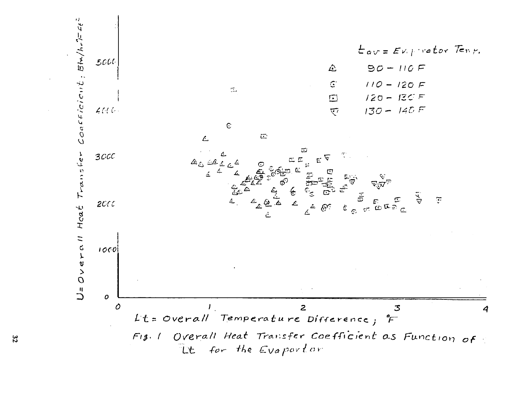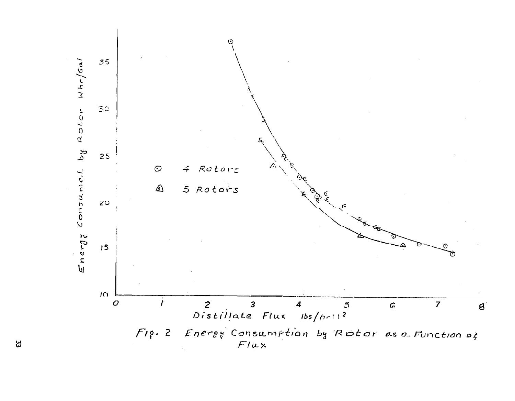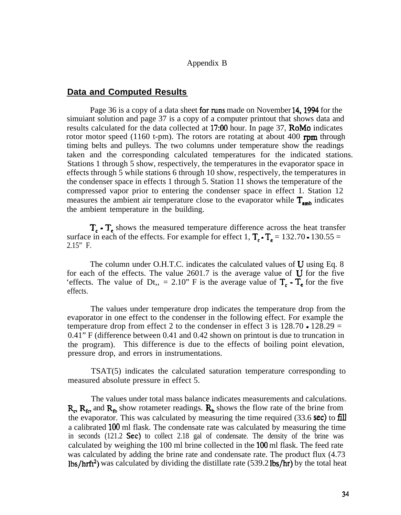#### Appendix B

#### **Data and Computed Results**

Page 36 is a copy of a data sheet for runs made on November 14, 1994 for the simuiant solution and page 37 is a copy of a computer printout that shows data and results calculated for the data collected at  $17:00$  hour. In page 37, **RoMo** indicates rotor motor speed (1160 t-pm). The rotors are rotating at about 400  $\text{rpm}$  through timing belts and pulleys. The two columns under temperature show the readings taken and the corresponding calculated temperatures for the indicated stations. Stations 1 through 5 show, respectively, the temperatures in the evaporator space in effects through 5 while stations 6 through 10 show, respectively, the temperatures in the condenser space in effects 1 through 5. Station 11 shows the temperature of the compressed vapor prior to entering the condenser space in effect 1. Station 12 measures the ambient air temperature close to the evaporator while  $T_{\text{emb}}$  indicates the ambient temperature in the building.

 $T_c$   $\cdot$   $T_e$  shows the measured temperature difference across the heat transfer surface in each of the effects. For example for effect 1,  $T_c \cdot T_e = 132.70 \cdot 130.55 =$ 2.15" F.

The column under O.H.T.C. indicates the calculated values of  $U$  using Eq. 8 for each of the effects. The value 2601.7 is the average value of  $U$  for the five 'effects. The value of Dt,, = 2.10" F is the average value of  $T_c \cdot T_e$  for the five effects.

The values under temperature drop indicates the temperature drop from the evaporator in one effect to the condenser in the following effect. For example the temperature drop from effect 2 to the condenser in effect 3 is  $128.70 \cdot 128.29 =$ 0.41" F (difference between 0.41 and 0.42 shown on printout is due to truncation in the program). This difference is due to the effects of boiling point elevation, pressure drop, and errors in instrumentations.

TSAT(5) indicates the calculated saturation temperature corresponding to measured absolute pressure in effect 5.

The values under total mass balance indicates measurements and calculations.  $R_c$ ,  $R_f$  and  $R_f$  show rotameter readings.  $R_b$  shows the flow rate of the brine from the evaporator. This was calculated by measuring the time required  $(33.6 \text{ sec})$  to fill a calibrated 100 ml flask. The condensate rate was calculated by measuring the time in seconds  $(121.2 \text{ Sec})$  to collect  $2.18$  gal of condensate. The density of the brine was calculated by weighing the 100 ml brine collected in the 100 ml flask. The feed rate was calculated by adding the brine rate and condensate rate. The product flux (4.73 lbs/hrft<sup>2</sup>) was calculated by dividing the distillate rate (539.2 lbs/hr) by the total heat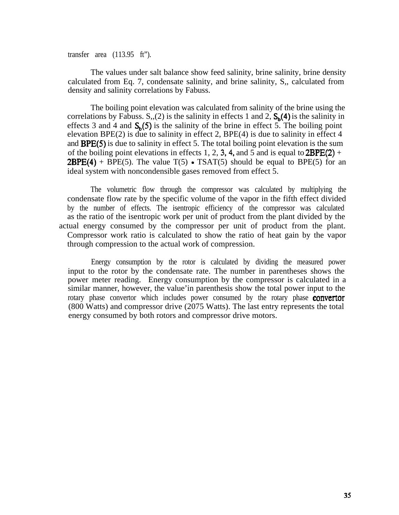transfer area (113.95 ft").

The values under salt balance show feed salinity, brine salinity, brine density calculated from Eq. 7, condensate salinity, and brine salinity, S,, calculated from density and salinity correlations by Fabuss.

The boiling point elevation was calculated from salinity of the brine using the correlations by Fabuss. S,,(2) is the salinity in effects 1 and 2,  $S_h(4)$  is the salinity in effects 3 and 4 and  $S_h(5)$  is the salinity of the brine in effect 5. The boiling point elevation BPE(2) is due to salinity in effect 2, BPE(4) is due to salinity in effect 4 and **BPE(5)** is due to salinity in effect 5. The total boiling point elevation is the sum of the boiling point elevations in effects 1, 2, 3, 4, and 5 and is equal to  $2BPE(2) +$ **2BPE(4)** + BPE(5). The value  $T(5)$  • TSAT(5) should be equal to BPE(5) for an ideal system with noncondensible gases removed from effect 5.

The volumetric flow through the compressor was calculated by multiplying the condensate flow rate by the specific volume of the vapor in the fifth effect divided by the number of effects. The isentropic efficiency of the compressor was calculated as the ratio of the isentropic work per unit of product from the plant divided by the actual energy consumed by the compressor per unit of product from the plant. Compressor work ratio is calculated to show the ratio of heat gain by the vapor through compression to the actual work of compression.

Energy consumption by the rotor is calculated by dividing the measured power input to the rotor by the condensate rate. The number in parentheses shows the power meter reading. Energy consumption by the compressor is calculated in a similar manner, however, the value'in parenthesis show the total power input to the rotary phase convertor which includes power consumed by the rotary phase **convertor** (800 Watts) and compressor drive (2075 Watts). The last entry represents the total energy consumed by both rotors and compressor drive motors.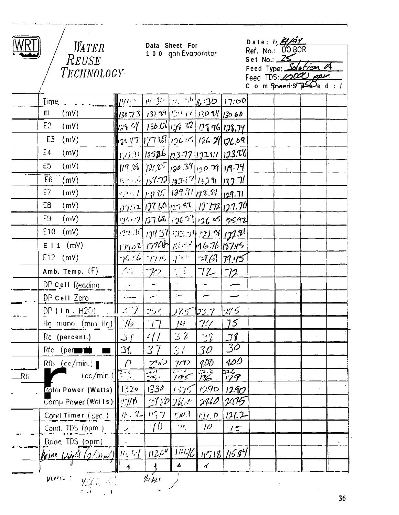

/ WATER<br>REUSE<br>TECHNOLOGY

Data Sheet For<br>100 gph Evaporator

| Date: $\frac{H}{4}$<br>Ref. No.: D'OIBOR                     |
|--------------------------------------------------------------|
| Set No.: $25$<br>Feed Type: Salation A                       |
| Feed TDS: 10000 ppm<br>C o m Spheed $S\rightarrow S$ e d : / |

|                   | Time                                                                      | $\mathbb{H}$ p $\mathbb{R}^{n \times n}$                                                                                                                         |                       | $\left[ \frac{\mu}{3}c \right] \approx \frac{3.6}{10}$ (6:30 17:00) |                |                   |  |  |
|-------------------|---------------------------------------------------------------------------|------------------------------------------------------------------------------------------------------------------------------------------------------------------|-----------------------|---------------------------------------------------------------------|----------------|-------------------|--|--|
|                   | (mV)<br>$E\Gamma$                                                         | $13073$ 132 89 130 16 130 11 130 60                                                                                                                              |                       |                                                                     |                |                   |  |  |
|                   | E2<br>(mV)                                                                | 28.54  136.01 136.22  118.96 128.79                                                                                                                              |                       |                                                                     |                |                   |  |  |
|                   | E3<br>$(n_1V)$                                                            | 126 29 20 26 126 126 29 29 29 19                                                                                                                                 |                       |                                                                     |                |                   |  |  |
|                   | E4<br>(mV)                                                                | $    $ 123 13 13 13 17 132 11 133.88                                                                                                                             |                       |                                                                     |                |                   |  |  |
|                   | E5<br>(mV)                                                                | $\ f(x,y) _{\mathcal{U},\mathcal{U}}\ _{\mathcal{U},\mathcal{U}}\leq\ f(x,y) _{\mathcal{U},\mathcal{U}}\ _{\mathcal{U},\mathcal{U}}\leq\ f(x,y)\ _{\mathcal{U}}$ |                       |                                                                     |                |                   |  |  |
|                   | $\overline{E6}$<br>(mV)                                                   | 1137.71 139.72 132.87 132.91 132.71                                                                                                                              |                       |                                                                     |                |                   |  |  |
|                   | E7<br>(mV)                                                                | $\  \mathbb{R}^{n+1}  _{L^2}$ of $  \mathcal{U}^{q,q}  _{L^2}$ (1995) $  \mathcal{U}^{q,q}  _{L^2}$                                                              |                       |                                                                     |                |                   |  |  |
|                   | E8<br>(mV)                                                                | $\ y_1z_2 _1$ or 60 $ z_1 $ of $ t_1 _1$ $ t_2 _1$ $ t_1 _2$                                                                                                     |                       |                                                                     |                |                   |  |  |
|                   | (mV)<br>E9.                                                               |                                                                                                                                                                  |                       |                                                                     |                |                   |  |  |
|                   | E <sub>10</sub><br>(mV)                                                   |                                                                                                                                                                  |                       |                                                                     |                |                   |  |  |
|                   | E 1 1 (mV)                                                                | 11402 17764 186-2416.76 15745                                                                                                                                    |                       |                                                                     |                |                   |  |  |
|                   | $E12$ (mV)                                                                | $  \gamma_{5}\leq  \cdot  \gamma_{7}\rangle_{F}$ , $  \gamma_{5}\rangle_{F}$ , $  \gamma_{4}\rangle_{F}$ , $  \gamma_{1}\rangle_{F}$                             |                       |                                                                     |                |                   |  |  |
|                   | Amb. Temp. (F)                                                            | $\mathcal{L}^{\mathcal{L}}$                                                                                                                                      | $\mathcal{P}$         |                                                                     | $72 - 72$      |                   |  |  |
|                   | DP Cell Reading                                                           | $\sim$ $\omega$                                                                                                                                                  | --                    |                                                                     | $\sim$         |                   |  |  |
|                   | DP Cell Zero                                                              | ليبدد                                                                                                                                                            | $\leftarrow$          | $\frac{1}{2}$                                                       |                |                   |  |  |
|                   | $DP$ (in. $H2O$ )                                                         | $\parallel$ 2 $\parallel$ 7                                                                                                                                      | $25\%$                | <u> 175 -</u>                                                       | 23.7           | 14.5              |  |  |
|                   | Hg mano. (mm Hg)                                                          | $\frac{1}{6}$                                                                                                                                                    | $\lceil \cdot \rceil$ | 14                                                                  | $7\%$          | 75                |  |  |
|                   | Rc (percent.)                                                             | ِ<br>∫'ٽ                                                                                                                                                         | $\frac{1}{2}$         | $\mathbb{E}[\delta]$                                                | $2\%$          | $J\%$             |  |  |
|                   | $Rfc$ (percent)                                                           | 36                                                                                                                                                               | 37                    | $\mathbb{R}^I$                                                      | $\mathcal{ZD}$ | 30                |  |  |
|                   | $Rfb$ (cc/min.)                                                           | $\varOmega$                                                                                                                                                      | $\frac{25}{25}$       | 7 <sup>1</sup>                                                      | $Q\bar{Q}Q$    | 400               |  |  |
| $Rb^{\circ}$      | (cc/min.)                                                                 | $\frac{27}{10}$                                                                                                                                                  |                       | <u>करी र</u><br>195                                                 | 73. E<br>116   | श्च<br><u>179</u> |  |  |
|                   | Rolar Power (Watts)                                                       | 1320                                                                                                                                                             | 1330                  | 1525                                                                | 1290           | 1290              |  |  |
|                   | Comp Power (Walls):                                                       | $ \mathbb{E}/\mathbb{E} $                                                                                                                                        |                       |                                                                     | 27/60          | 7475              |  |  |
|                   | Cond Timer (sec.)                                                         | $\#$ , $2$                                                                                                                                                       | 1/37                  | rje.1                                                               | $121.$ D       | 121.2             |  |  |
|                   | Cond. TDS (ppm.)                                                          | المستبر                                                                                                                                                          | ÷[ ()                 | $\mathcal{W}_j$                                                     | $70^{\circ}$   | 15                |  |  |
|                   | Brine TDS (ppm)                                                           |                                                                                                                                                                  |                       |                                                                     |                |                   |  |  |
|                   | $\mathscr{Q}/\mathscr{Q}_M$ for 91 $\parallel$<br>Krine Win <sup>21</sup> |                                                                                                                                                                  | 12.64                 | 11176                                                               |                | 11518 11584       |  |  |
|                   |                                                                           | $\Delta$                                                                                                                                                         |                       |                                                                     | $\overline{a}$ |                   |  |  |
| VENIS :<br>14 ALL |                                                                           |                                                                                                                                                                  |                       |                                                                     |                |                   |  |  |
|                   |                                                                           |                                                                                                                                                                  |                       |                                                                     |                |                   |  |  |

 $36$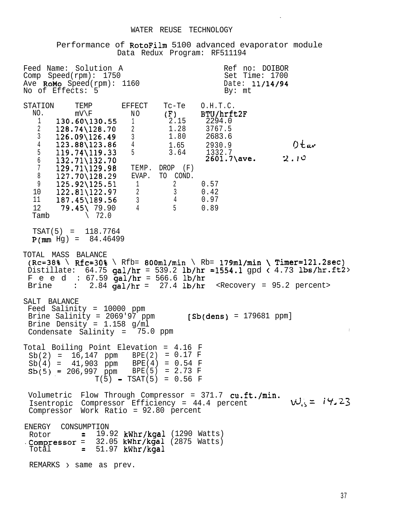#### WATER REUSE TECHNOLOGY

Performance of RotoFilm 5100 advanced evaporator module Data Redux Program: RF511194

Feed Name: Solution A and Ref no: DOIBOR<br>
Comp Speed(rpm): 1750 and Set Time: 1700 Comp  $Speed(rpm): 1750$ Ave **RoMo** Speed(rpm): 1160 Date: 11/14/94<br>No of Effects: 5 No of Effects: 5 STATION TEMP EFFECT<br>NO. mV\F NO NO. mV\F N O  $1$  130.60\130.55<br>2 128.74\128.70  $128.74\backslash128.70$  2 <sup>3</sup> 126.09\126.49 <sup>3</sup>  $\begin{array}{cccc} 4 & 123.88\backslash123.86 & 4 \\ 5 & 119.74\backslash119.33 & 5 \end{array}$  $119.74\backslash119.33$  $\begin{array}{cc}\n 6 & 132.71\{132.70\} \\
 7 & 129.71\{129.98\}\n \end{array}$  $\begin{array}{cc}\n 7 & 129.71\{\text{129.98}} \\
 8 & 127.70\{128.29\}\n \end{array}$  $127.70\backslash128.29$ 9 125.92\125.51 1<br>10 122.81\122.97 2 10 122.81\122.97 <sup>2</sup> 11 187.45\189.56 <sup>3</sup> 12 **79.45\** 79.90 4<br>Tamb \ 72.0  $\setminus$  72.0 Tc-Te  $0.H.T.C.  
(F)$  BTU/hrft<br>2.15 2294.0 (F) BTU/hrft2F 2.15 2294.0 1.28 3767.5 1.80 2683.6 1.65 2930.9  $0$ tav<br>3.64 1332.7 3.64 1332.7  $2601.7\backslash$ ave.  $2.10$ TEMP. DROP (F) EVAP. TO COND.  $\begin{array}{ccc} 2 & 0.57 \\ 3 & 0.42 \end{array}$  $0.42$ 4 0.97<br>5 0.89 5 0.89 TSAT(5) = 118.7764  $P(\text{mm} \text{Hq}) = 84.46499$ TOTAL MASS BALANCE  $(Re=38\% \setminus Rfc=30\% \setminus Rfb= 800ml/min \setminus Rb= 179ml/min \setminus Timer=121.2sec)$ Distillate:  $64.75$  gal/hr = 539.2 lb/hr = 1554.1 gpd  $(4.73$  lbs/hr.ft2> Feed:  $67.59$  gal/hr = 566.6 lb/hr<br>Brine : 2.84 gal/hr = 27.4 lb/hr  $B = 2.84$  gal/hr = 27.4 lb/hr <Recovery = 95.2 percent> SALT BALANCE Feed Salinity = 10000 ppm Brine Salinity =  $2069'97$  ppm [Sb(dens) = 179681 ppm] Brine Density = 1.158 g/ml Condensate Salinity =  $75.0$  ppm Total Boiling Point Elevation = 4.16 F  $Sb(2) = 16,147$  ppm BPE(2) = 0.17 F Sb(4) = 41,903 ppm BPE(4) = 0.54 F  $Sb(5) = 206,997$  ppm BPE(5) = 2.73 F Volumetric Flow Through Compressor = 371.7 cu.ft./min. Isentropic Compressor Efficiency =  $44.4$  percent  $W_{15} = 14.23$ Compressor Work Ratio = 92.80 percent  $T(5)$  = TSAT(5) = 0.56 F ENERGY CONSUMPTION Rotor  $= 19.92$  kWhr/kgal (1290 Watts)  $\cdot$  Compressor = 32.05 kWhr/kgal (2875 Watts)  $Total = 51.97$  kWhr/kgal REMARKS > same as prev.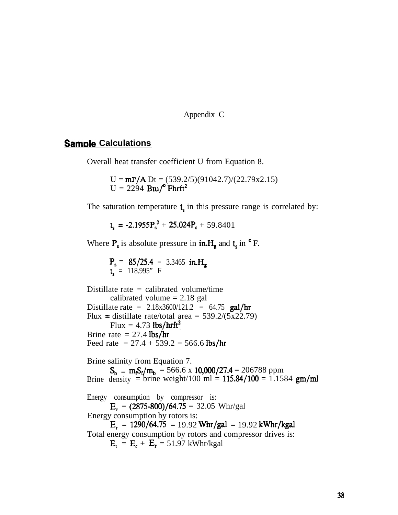Appendix C

### **Sample Calculations**

Overall heat transfer coefficient U from Equation 8.

 $U = mP/A Dt = (539.2/5)(91042.7)/(22.79x2.15)$  $U = 2294$  Btu/ $^{\circ}$  Fhrft<sup>2</sup>

The saturation temperature  $t<sub>s</sub>$  in this pressure range is correlated by:

 $t_s = -2.1955P_s^2 + 25.024P_s + 59.8401$ 

Where  $P_s$  is absolute pressure in  $in.H_g$  and  $t_s$  in  $\circ$  F.

 $P_s = 85/25.4 = 3.3465$  in.H.  $t_s$  = 118.995" F

Distillate rate  $=$  calibrated volume/time calibrated volume  $= 2.18$  gal Distillate rate =  $2.18x3600/121.2 = 64.75$  gal/hr Flux = distillate rate/total area =  $539.2/(5x22.79)$ Flux =  $4.73$  lbs/hrft<sup>2</sup> Brine rate  $= 27.4$  lbs/hr Feed rate =  $27.4 + 539.2 = 566.6$  lbs/hr Brine salinity from Equation 7.  $S_b = m_f S_f / m_b = 566.6 \times 10,000 / 27.4 = 206788$  ppm Brine density = brine weight/100 ml =  $115.84/100 = 1.1584$  gm/ml Energy consumption by compressor is:  $E_c = (2875-800)/64.75 = 32.05$  Whr/gal Energy consumption by rotors is:  $E_r = 1290/64.75 = 19.92$  Whr/gal = 19.92 kWhr/kgal

Total energy consumption by rotors and compressor drives is:  $E_t = E_c + E_r = 51.97$  kWhr/kgal

38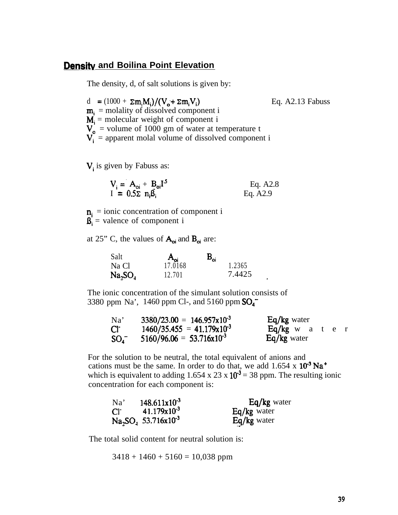#### **Densitv and Boilina Point Elevation**

The density, d, of salt solutions is given by:

d =  $(1000 + \Sigma m_i M_i)/(V_o + \Sigma m_i V_i)$  Eq. A2.13 Fabuss  $\mathbf{m}_i$  = molality of dissolved component i  $M_i$  = molecular weight of component i  $V_0$  = volume of 1000 gm of water at temperature t  $V_i$  = apparent molal volume of dissolved component i

 $V_i$  is given by Fabuss as:

$$
V_i = A_{oi} + B_{oi}I^5
$$
 Eq. A2.8  
 
$$
I = 0.5\Sigma n_i\hat{B}_i
$$
 Eq. A2.9

 $\mathbf{n}_i$  = ionic concentration of component i  $\mathbf{S}_i$  = valence of component i

at 25" C, the values of  $A_{oi}$  and  $B_{oi}$  are:

| Salt                | $A_{\alpha i}$ | $\mathbf{B}_{\rm os}$ |        |  |
|---------------------|----------------|-----------------------|--------|--|
| Na Cl               | 17.0168        |                       | 1.2365 |  |
| Na, SO <sub>4</sub> | 12.701         |                       | 7.4425 |  |

The ionic concentration of the simulant solution consists of 3380 ppm Na', 1460 ppm Cl-, and 5160 ppm  $SO_4^-$ 

| Na'          | $3380/23.00 = 146.957 \times 10^{-3}$ | $Eq/kg$ water               |
|--------------|---------------------------------------|-----------------------------|
| $Cl^{\cdot}$ | $1460/35.455 = 41.179 \times 10^{-3}$ | $Eq/kg \t w \t a \t e \t r$ |
| $SO_4^-$     | $5160/96.06 = 53.716 \times 10^{-3}$  | Eq/kg water                 |

For the solution to be neutral, the total equivalent of anions and cations must be the same. In order to do that, we add  $1.654 \times 10^{-3}$  Na<sup>+</sup> which is equivalent to adding 1.654 x 23 x  $10^{-3}$  = 38 ppm. The resulting ionic concentration for each component is:

| Na'          | $148.611x10^{-3}$       | Eq/kg water |
|--------------|-------------------------|-------------|
| $Cl^{\cdot}$ | $41.179 \times 10^{-3}$ | Eq/kg water |
|              | $Na2SO4 53.716x10-3$    | Eq/kg water |

The total solid content for neutral solution is:

 $3418 + 1460 + 5160 = 10,038$  ppm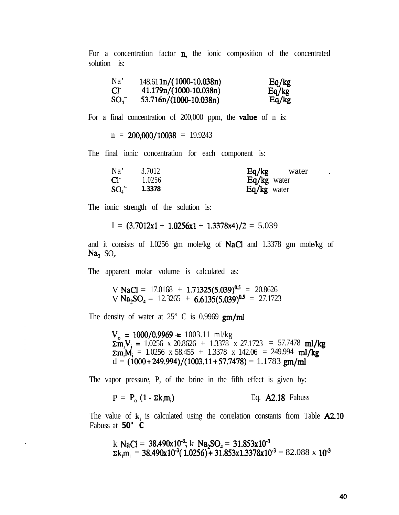For a concentration factor  $n$ , the ionic composition of the concentrated solution is:

| Na'             | $148.61 \ln(1000-10.038n)$ | Eq/kg |
|-----------------|----------------------------|-------|
| Cr <sup>-</sup> | $41.179n/(1000-10.038n)$   | Eq/kg |
| $SO_4^-$        | $53.716n/(1000-10.038n)$   | Eq/kg |

For a final concentration of 200,000 ppm, the **value** of n is:

 $n = 200,000/10038 = 19.9243$ 

The final ionic concentration for each component is:

| Na'      | 3.7012 | Eq/kg<br>water |
|----------|--------|----------------|
| $Cl^-$   | 1.0256 | Eq/kg water    |
| $SO_1^-$ | 1.3378 | $Eq/kg$ water  |

The ionic strength of the solution is:

$$
I = (3.7012x1 + 1.0256x1 + 1.3378x4)/2 = 5.039
$$

and it consists of 1.0256 gm mole/kg of NaCl and 1.3378 gm mole/kg of Na, SO,.

The apparent molar volume is calculated as:

V NaCl =  $17.0168 + 1.71325(5.039)^{0.5} = 20.8626$ V Na<sub>2</sub>SO<sub>4</sub> = 12.3265 + 6.6135(5.039)<sup>0.5</sup> = 27.1723

The density of water at  $25$ " C is 0.9969 gm/ml

 $V_0$  = 1000/0.9969 = 1003.11 ml/kg  $\sum_{i=1}^{n}$   $V_i = 1.0256$  x 20.8626 + 1.3378 x 27.1723 = 57.7478 ml/kg  $\Sigma m_i M_i = 1.0256 \times 58.455 + 1.3378 \times 142.06 = 249.994 \text{ ml/kg}$  $d = (1000+249.994)/(1003.11+57.7478) = 1.1783$  gm/ml

The vapor pressure, P, of the brine in the fifth effect is given by:

$$
P = P_o (1 - \Sigma k_i m_i)
$$
 Eq. A2.18 Fabuss

The value of  $k_i$  is calculated using the correlation constants from Table  $A2.10$ Fabuss at **50" C**

k NaCl = 38.490x10<sup>-3</sup>; k Na<sub>2</sub>SO<sub>4</sub> = 31.853x10<sup>-3</sup>  
\n
$$
\Sigma
$$
k<sub>i</sub>m<sub>i</sub> = 38.490x10<sup>-3</sup>(1.0256) + 31.853x1.3378x10<sup>-3</sup> = 82.088 x 10<sup>-3</sup>